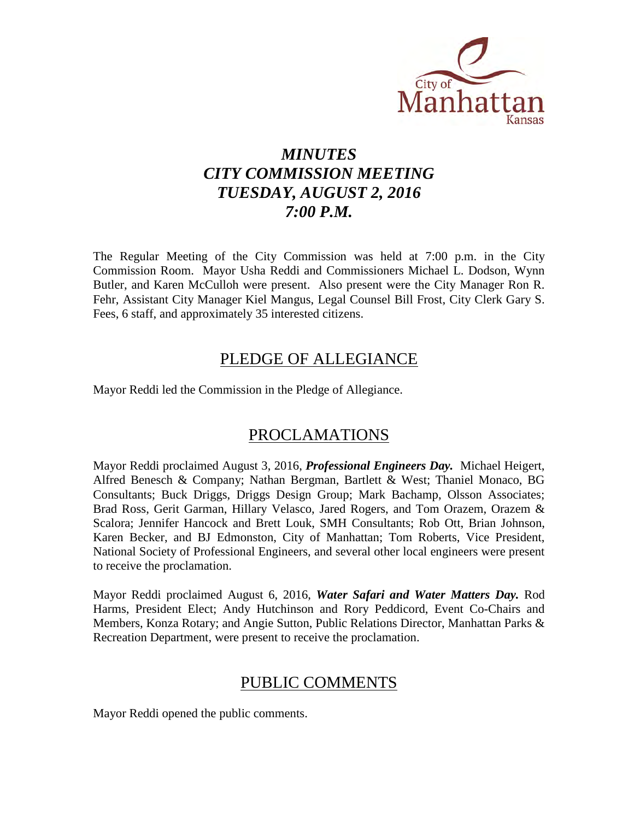

# *MINUTES CITY COMMISSION MEETING TUESDAY, AUGUST 2, 2016 7:00 P.M.*

The Regular Meeting of the City Commission was held at 7:00 p.m. in the City Commission Room. Mayor Usha Reddi and Commissioners Michael L. Dodson, Wynn Butler, and Karen McCulloh were present. Also present were the City Manager Ron R. Fehr, Assistant City Manager Kiel Mangus, Legal Counsel Bill Frost, City Clerk Gary S. Fees, 6 staff, and approximately 35 interested citizens.

# PLEDGE OF ALLEGIANCE

Mayor Reddi led the Commission in the Pledge of Allegiance.

# PROCLAMATIONS

Mayor Reddi proclaimed August 3, 2016, *Professional Engineers Day.* Michael Heigert, Alfred Benesch & Company; Nathan Bergman, Bartlett & West; Thaniel Monaco, BG Consultants; Buck Driggs, Driggs Design Group; Mark Bachamp, Olsson Associates; Brad Ross, Gerit Garman, Hillary Velasco, Jared Rogers, and Tom Orazem, Orazem & Scalora; Jennifer Hancock and Brett Louk, SMH Consultants; Rob Ott, Brian Johnson, Karen Becker, and BJ Edmonston, City of Manhattan; Tom Roberts, Vice President, National Society of Professional Engineers, and several other local engineers were present to receive the proclamation.

Mayor Reddi proclaimed August 6, 2016, *Water Safari and Water Matters Day.* Rod Harms, President Elect; Andy Hutchinson and Rory Peddicord, Event Co-Chairs and Members, Konza Rotary; and Angie Sutton, Public Relations Director, Manhattan Parks & Recreation Department, were present to receive the proclamation.

# PUBLIC COMMENTS

Mayor Reddi opened the public comments.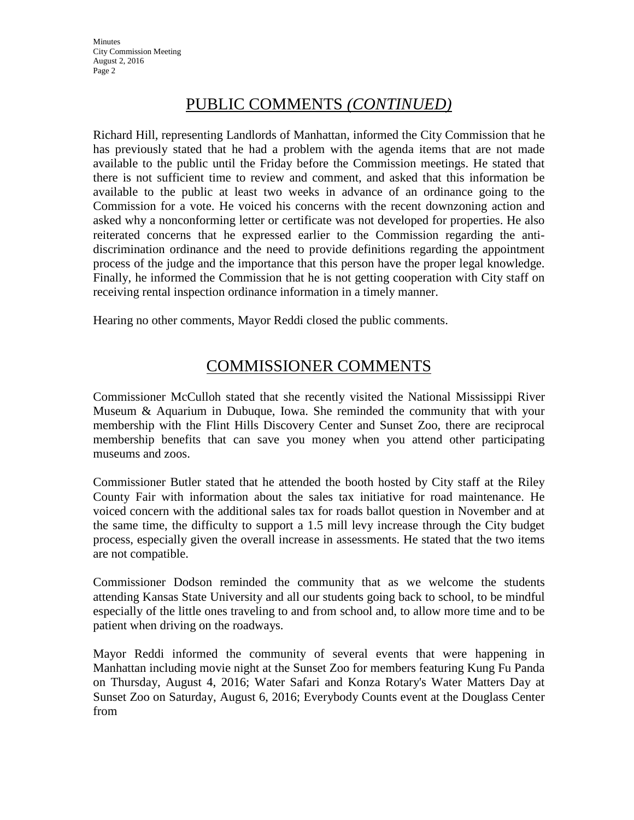# PUBLIC COMMENTS *(CONTINUED)*

Richard Hill, representing Landlords of Manhattan, informed the City Commission that he has previously stated that he had a problem with the agenda items that are not made available to the public until the Friday before the Commission meetings. He stated that there is not sufficient time to review and comment, and asked that this information be available to the public at least two weeks in advance of an ordinance going to the Commission for a vote. He voiced his concerns with the recent downzoning action and asked why a nonconforming letter or certificate was not developed for properties. He also reiterated concerns that he expressed earlier to the Commission regarding the antidiscrimination ordinance and the need to provide definitions regarding the appointment process of the judge and the importance that this person have the proper legal knowledge. Finally, he informed the Commission that he is not getting cooperation with City staff on receiving rental inspection ordinance information in a timely manner.

Hearing no other comments, Mayor Reddi closed the public comments.

# COMMISSIONER COMMENTS

Commissioner McCulloh stated that she recently visited the National Mississippi River Museum & Aquarium in Dubuque, Iowa. She reminded the community that with your membership with the Flint Hills Discovery Center and Sunset Zoo, there are reciprocal membership benefits that can save you money when you attend other participating museums and zoos.

Commissioner Butler stated that he attended the booth hosted by City staff at the Riley County Fair with information about the sales tax initiative for road maintenance. He voiced concern with the additional sales tax for roads ballot question in November and at the same time, the difficulty to support a 1.5 mill levy increase through the City budget process, especially given the overall increase in assessments. He stated that the two items are not compatible.

Commissioner Dodson reminded the community that as we welcome the students attending Kansas State University and all our students going back to school, to be mindful especially of the little ones traveling to and from school and, to allow more time and to be patient when driving on the roadways.

Mayor Reddi informed the community of several events that were happening in Manhattan including movie night at the Sunset Zoo for members featuring Kung Fu Panda on Thursday, August 4, 2016; Water Safari and Konza Rotary's Water Matters Day at Sunset Zoo on Saturday, August 6, 2016; Everybody Counts event at the Douglass Center from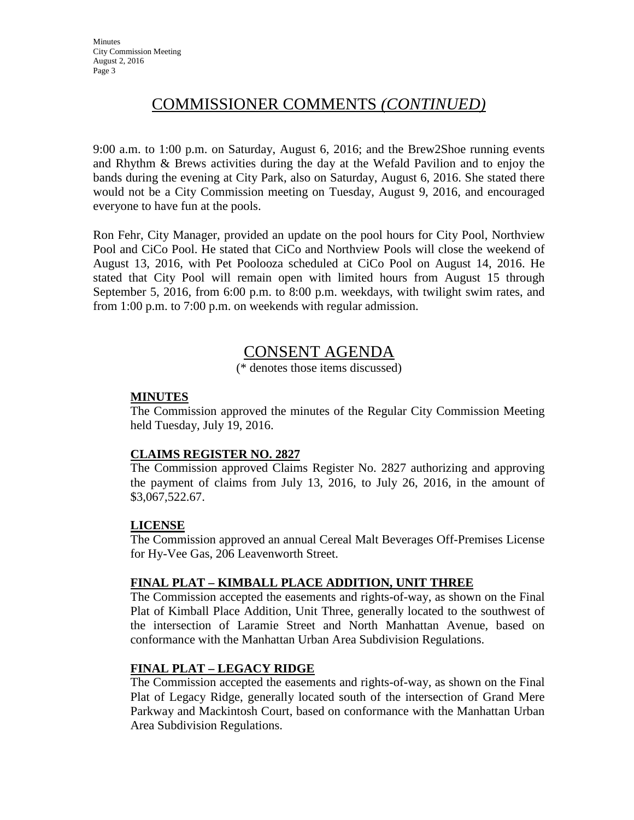# COMMISSIONER COMMENTS *(CONTINUED)*

9:00 a.m. to 1:00 p.m. on Saturday, August 6, 2016; and the Brew2Shoe running events and Rhythm & Brews activities during the day at the Wefald Pavilion and to enjoy the bands during the evening at City Park, also on Saturday, August 6, 2016. She stated there would not be a City Commission meeting on Tuesday, August 9, 2016, and encouraged everyone to have fun at the pools.

Ron Fehr, City Manager, provided an update on the pool hours for City Pool, Northview Pool and CiCo Pool. He stated that CiCo and Northview Pools will close the weekend of August 13, 2016, with Pet Poolooza scheduled at CiCo Pool on August 14, 2016. He stated that City Pool will remain open with limited hours from August 15 through September 5, 2016, from 6:00 p.m. to 8:00 p.m. weekdays, with twilight swim rates, and from 1:00 p.m. to 7:00 p.m. on weekends with regular admission.

# CONSENT AGENDA

(\* denotes those items discussed)

# **MINUTES**

The Commission approved the minutes of the Regular City Commission Meeting held Tuesday, July 19, 2016.

# **CLAIMS REGISTER NO. 2827**

The Commission approved Claims Register No. 2827 authorizing and approving the payment of claims from July 13, 2016, to July 26, 2016, in the amount of \$3,067,522.67.

# **LICENSE**

The Commission approved an annual Cereal Malt Beverages Off-Premises License for Hy-Vee Gas, 206 Leavenworth Street.

# **FINAL PLAT – KIMBALL PLACE ADDITION, UNIT THREE**

The Commission accepted the easements and rights-of-way, as shown on the Final Plat of Kimball Place Addition, Unit Three, generally located to the southwest of the intersection of Laramie Street and North Manhattan Avenue, based on conformance with the Manhattan Urban Area Subdivision Regulations.

# **FINAL PLAT – LEGACY RIDGE**

The Commission accepted the easements and rights-of-way, as shown on the Final Plat of Legacy Ridge, generally located south of the intersection of Grand Mere Parkway and Mackintosh Court, based on conformance with the Manhattan Urban Area Subdivision Regulations.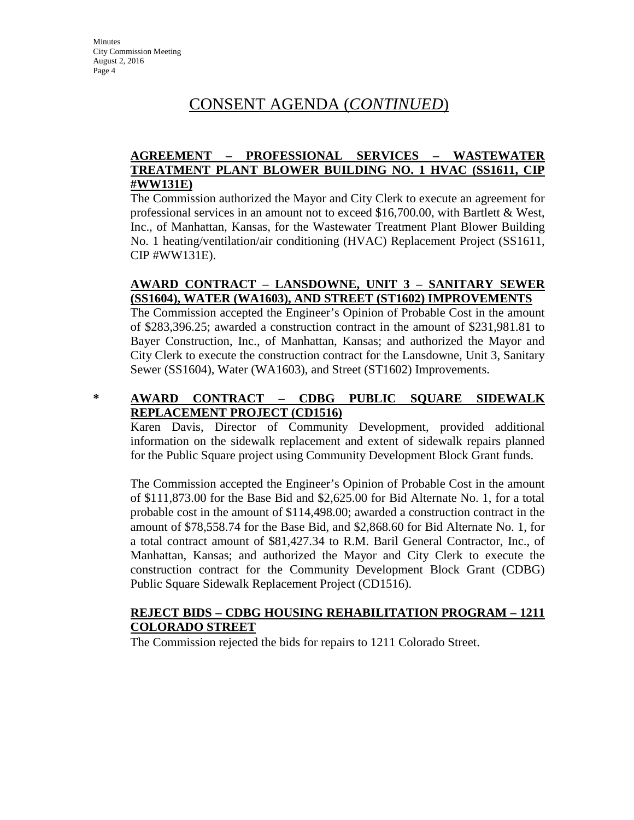# CONSENT AGENDA (*CONTINUED*)

# **AGREEMENT – PROFESSIONAL SERVICES – WASTEWATER TREATMENT PLANT BLOWER BUILDING NO. 1 HVAC (SS1611, CIP #WW131E)**

The Commission authorized the Mayor and City Clerk to execute an agreement for professional services in an amount not to exceed \$16,700.00, with Bartlett & West, Inc., of Manhattan, Kansas, for the Wastewater Treatment Plant Blower Building No. 1 heating/ventilation/air conditioning (HVAC) Replacement Project (SS1611, CIP #WW131E).

### **AWARD CONTRACT – LANSDOWNE, UNIT 3 – SANITARY SEWER (SS1604), WATER (WA1603), AND STREET (ST1602) IMPROVEMENTS**

The Commission accepted the Engineer's Opinion of Probable Cost in the amount of \$283,396.25; awarded a construction contract in the amount of \$231,981.81 to Bayer Construction, Inc., of Manhattan, Kansas; and authorized the Mayor and City Clerk to execute the construction contract for the Lansdowne, Unit 3, Sanitary Sewer (SS1604), Water (WA1603), and Street (ST1602) Improvements.

# **\* AWARD CONTRACT – CDBG PUBLIC SQUARE SIDEWALK REPLACEMENT PROJECT (CD1516)**

Karen Davis, Director of Community Development, provided additional information on the sidewalk replacement and extent of sidewalk repairs planned for the Public Square project using Community Development Block Grant funds.

The Commission accepted the Engineer's Opinion of Probable Cost in the amount of \$111,873.00 for the Base Bid and \$2,625.00 for Bid Alternate No. 1, for a total probable cost in the amount of \$114,498.00; awarded a construction contract in the amount of \$78,558.74 for the Base Bid, and \$2,868.60 for Bid Alternate No. 1, for a total contract amount of \$81,427.34 to R.M. Baril General Contractor, Inc., of Manhattan, Kansas; and authorized the Mayor and City Clerk to execute the construction contract for the Community Development Block Grant (CDBG) Public Square Sidewalk Replacement Project (CD1516).

### **REJECT BIDS – CDBG HOUSING REHABILITATION PROGRAM – 1211 COLORADO STREET**

The Commission rejected the bids for repairs to 1211 Colorado Street.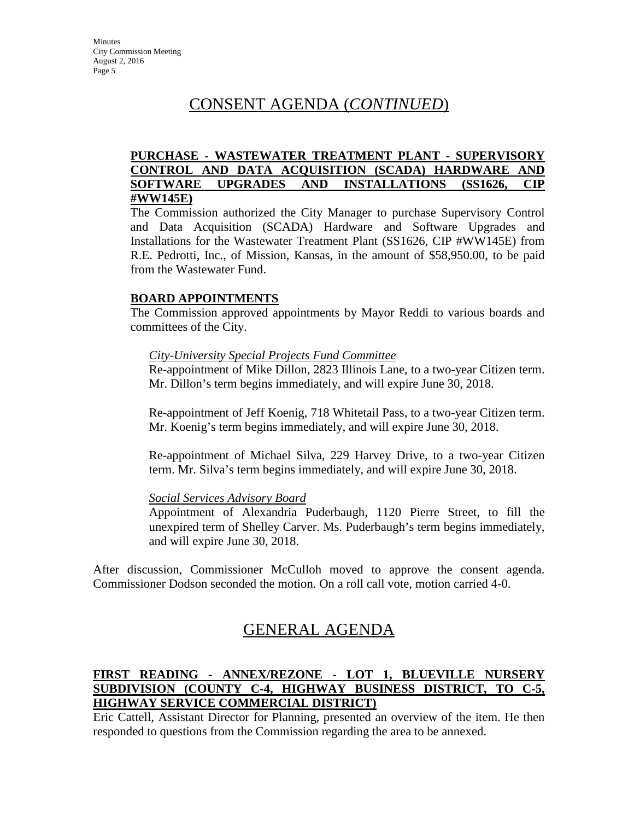# CONSENT AGENDA (*CONTINUED*)

### **PURCHASE - WASTEWATER TREATMENT PLANT - SUPERVISORY CONTROL AND DATA ACQUISITION (SCADA) HARDWARE AND SOFTWARE UPGRADES AND INSTALLATIONS (SS1626, CIP #WW145E)**

The Commission authorized the City Manager to purchase Supervisory Control and Data Acquisition (SCADA) Hardware and Software Upgrades and Installations for the Wastewater Treatment Plant (SS1626, CIP #WW145E) from R.E. Pedrotti, Inc., of Mission, Kansas, in the amount of \$58,950.00, to be paid from the Wastewater Fund.

### **BOARD APPOINTMENTS**

The Commission approved appointments by Mayor Reddi to various boards and committees of the City.

#### *City-University Special Projects Fund Committee*

Re-appointment of Mike Dillon, 2823 Illinois Lane, to a two-year Citizen term. Mr. Dillon's term begins immediately, and will expire June 30, 2018.

Re-appointment of Jeff Koenig, 718 Whitetail Pass, to a two-year Citizen term. Mr. Koenig's term begins immediately, and will expire June 30, 2018.

Re-appointment of Michael Silva, 229 Harvey Drive, to a two-year Citizen term. Mr. Silva's term begins immediately, and will expire June 30, 2018.

#### *Social Services Advisory Board*

Appointment of Alexandria Puderbaugh, 1120 Pierre Street, to fill the unexpired term of Shelley Carver. Ms. Puderbaugh's term begins immediately, and will expire June 30, 2018.

After discussion, Commissioner McCulloh moved to approve the consent agenda. Commissioner Dodson seconded the motion. On a roll call vote, motion carried 4-0.

# GENERAL AGENDA

# **FIRST READING - ANNEX/REZONE - LOT 1, BLUEVILLE NURSERY SUBDIVISION (COUNTY C-4, HIGHWAY BUSINESS DISTRICT, TO C-5, HIGHWAY SERVICE COMMERCIAL DISTRICT)**

Eric Cattell, Assistant Director for Planning, presented an overview of the item. He then responded to questions from the Commission regarding the area to be annexed.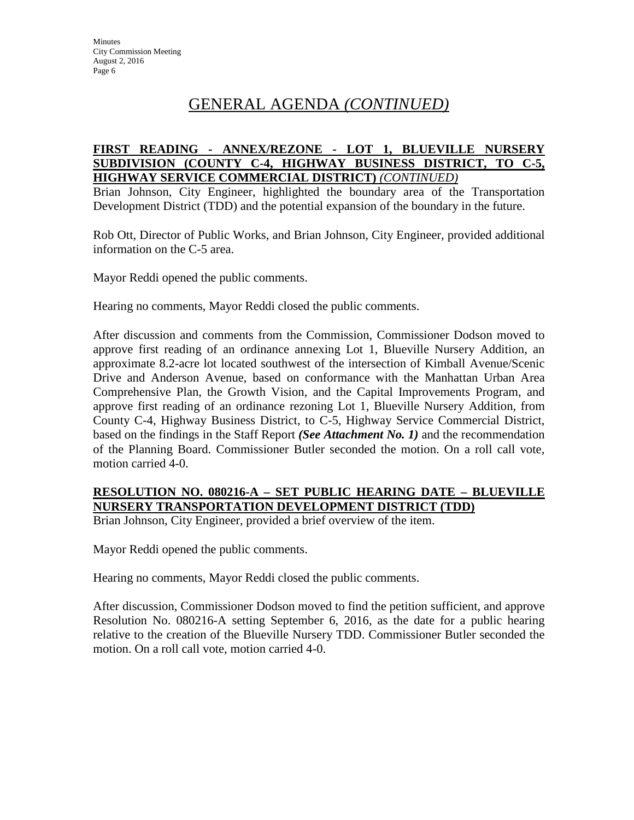# GENERAL AGENDA *(CONTINUED)*

#### **FIRST READING - ANNEX/REZONE - LOT 1, BLUEVILLE NURSERY SUBDIVISION (COUNTY C-4, HIGHWAY BUSINESS DISTRICT, TO C-5, HIGHWAY SERVICE COMMERCIAL DISTRICT)** *(CONTINUED)*

Brian Johnson, City Engineer, highlighted the boundary area of the Transportation Development District (TDD) and the potential expansion of the boundary in the future.

Rob Ott, Director of Public Works, and Brian Johnson, City Engineer, provided additional information on the C-5 area.

Mayor Reddi opened the public comments.

Hearing no comments, Mayor Reddi closed the public comments.

After discussion and comments from the Commission, Commissioner Dodson moved to approve first reading of an ordinance annexing Lot 1, Blueville Nursery Addition, an approximate 8.2-acre lot located southwest of the intersection of Kimball Avenue/Scenic Drive and Anderson Avenue, based on conformance with the Manhattan Urban Area Comprehensive Plan, the Growth Vision, and the Capital Improvements Program, and approve first reading of an ordinance rezoning Lot 1, Blueville Nursery Addition, from County C-4, Highway Business District, to C-5, Highway Service Commercial District, based on the findings in the Staff Report *(See Attachment No. 1)* and the recommendation of the Planning Board. Commissioner Butler seconded the motion. On a roll call vote, motion carried 4-0.

# **RESOLUTION NO. 080216-A – SET PUBLIC HEARING DATE – BLUEVILLE NURSERY TRANSPORTATION DEVELOPMENT DISTRICT (TDD)**

Brian Johnson, City Engineer, provided a brief overview of the item.

Mayor Reddi opened the public comments.

Hearing no comments, Mayor Reddi closed the public comments.

After discussion, Commissioner Dodson moved to find the petition sufficient, and approve Resolution No. 080216-A setting September 6, 2016, as the date for a public hearing relative to the creation of the Blueville Nursery TDD. Commissioner Butler seconded the motion. On a roll call vote, motion carried 4-0.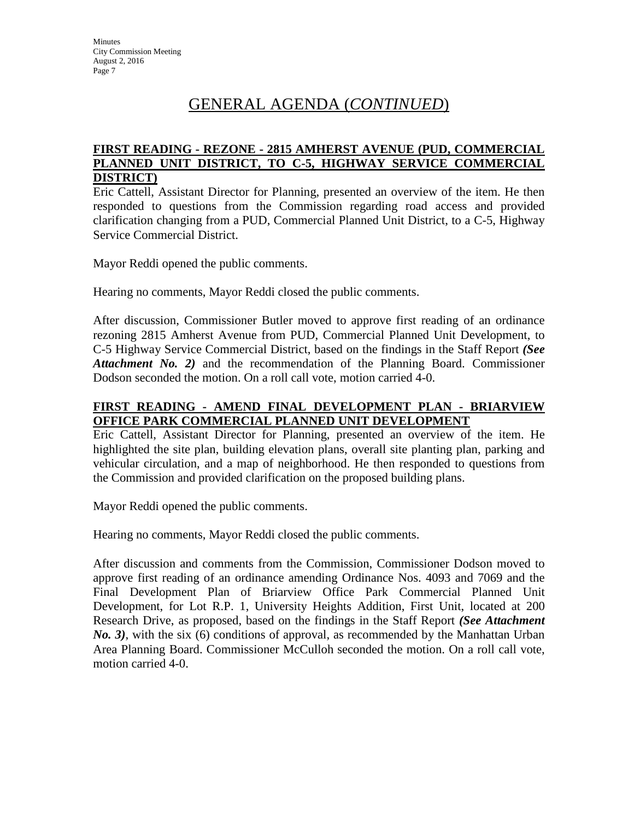# GENERAL AGENDA (*CONTINUED*)

### **FIRST READING - REZONE - 2815 AMHERST AVENUE (PUD, COMMERCIAL PLANNED UNIT DISTRICT, TO C-5, HIGHWAY SERVICE COMMERCIAL DISTRICT)**

Eric Cattell, Assistant Director for Planning, presented an overview of the item. He then responded to questions from the Commission regarding road access and provided clarification changing from a PUD, Commercial Planned Unit District, to a C-5, Highway Service Commercial District.

Mayor Reddi opened the public comments.

Hearing no comments, Mayor Reddi closed the public comments.

After discussion, Commissioner Butler moved to approve first reading of an ordinance rezoning 2815 Amherst Avenue from PUD, Commercial Planned Unit Development, to C-5 Highway Service Commercial District, based on the findings in the Staff Report *(See Attachment No. 2)* and the recommendation of the Planning Board. Commissioner Dodson seconded the motion. On a roll call vote, motion carried 4-0.

# **FIRST READING - AMEND FINAL DEVELOPMENT PLAN - BRIARVIEW OFFICE PARK COMMERCIAL PLANNED UNIT DEVELOPMENT**

Eric Cattell, Assistant Director for Planning, presented an overview of the item. He highlighted the site plan, building elevation plans, overall site planting plan, parking and vehicular circulation, and a map of neighborhood. He then responded to questions from the Commission and provided clarification on the proposed building plans.

Mayor Reddi opened the public comments.

Hearing no comments, Mayor Reddi closed the public comments.

After discussion and comments from the Commission, Commissioner Dodson moved to approve first reading of an ordinance amending Ordinance Nos. 4093 and 7069 and the Final Development Plan of Briarview Office Park Commercial Planned Unit Development, for Lot R.P. 1, University Heights Addition, First Unit, located at 200 Research Drive, as proposed, based on the findings in the Staff Report *(See Attachment No. 3)*, with the six (6) conditions of approval, as recommended by the Manhattan Urban Area Planning Board. Commissioner McCulloh seconded the motion. On a roll call vote, motion carried 4-0.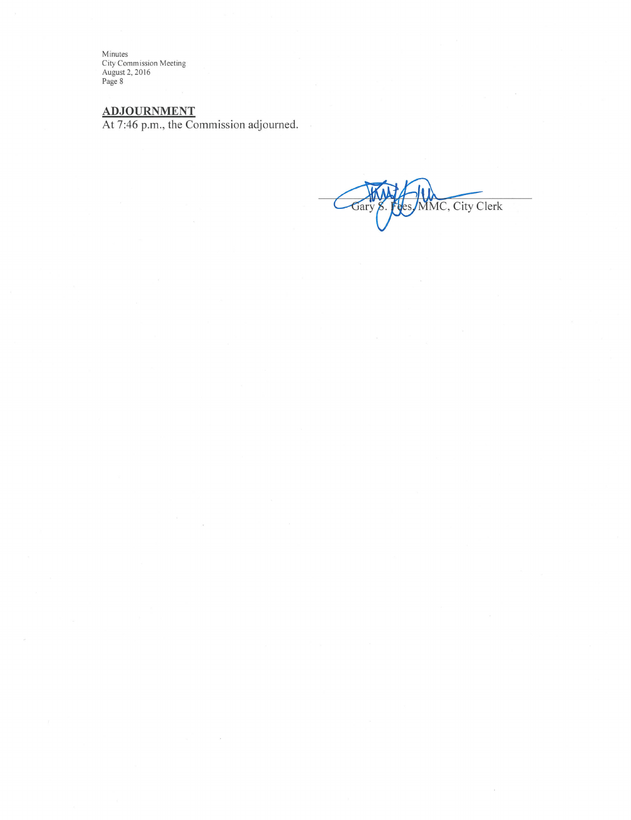Minutes<br>City Commission Meeting<br>August 2, 2016<br>Page 8

ADJOURNMENT<br>At 7:46 p.m., the Commission adjourned.

MMC, City Clerk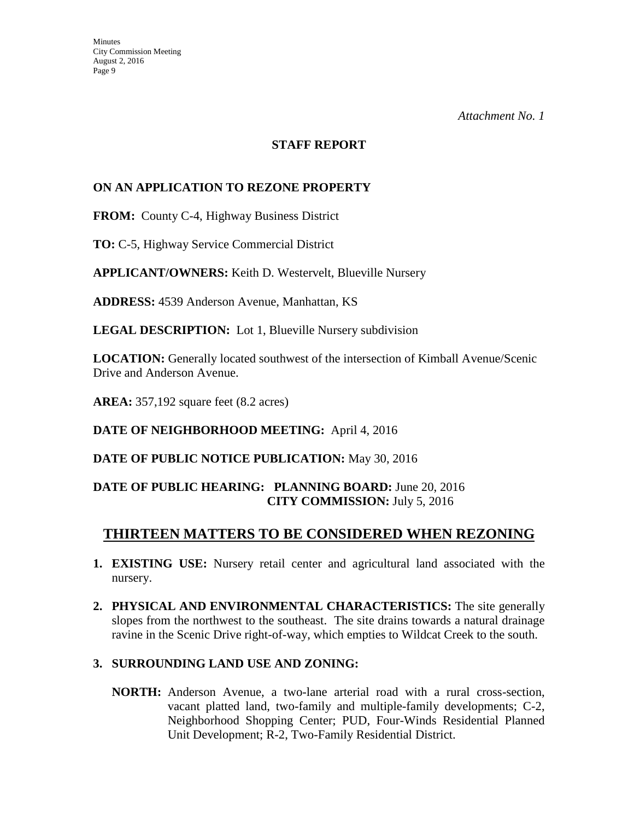#### **STAFF REPORT**

# **ON AN APPLICATION TO REZONE PROPERTY**

**FROM:** County C-4, Highway Business District

**TO:** C-5, Highway Service Commercial District

**APPLICANT/OWNERS:** Keith D. Westervelt, Blueville Nursery

**ADDRESS:** 4539 Anderson Avenue, Manhattan, KS

**LEGAL DESCRIPTION:** Lot 1, Blueville Nursery subdivision

**LOCATION:** Generally located southwest of the intersection of Kimball Avenue/Scenic Drive and Anderson Avenue.

**AREA:** 357,192 square feet (8.2 acres)

**DATE OF NEIGHBORHOOD MEETING:** April 4, 2016

**DATE OF PUBLIC NOTICE PUBLICATION:** May 30, 2016

# **DATE OF PUBLIC HEARING: PLANNING BOARD:** June 20, 2016 **CITY COMMISSION:** July 5, 2016

# **THIRTEEN MATTERS TO BE CONSIDERED WHEN REZONING**

- **1. EXISTING USE:** Nursery retail center and agricultural land associated with the nursery.
- **2. PHYSICAL AND ENVIRONMENTAL CHARACTERISTICS:** The site generally slopes from the northwest to the southeast. The site drains towards a natural drainage ravine in the Scenic Drive right-of-way, which empties to Wildcat Creek to the south.

# **3. SURROUNDING LAND USE AND ZONING:**

**NORTH:** Anderson Avenue, a two-lane arterial road with a rural cross-section, vacant platted land, two-family and multiple-family developments; C-2, Neighborhood Shopping Center; PUD, Four-Winds Residential Planned Unit Development; R-2, Two-Family Residential District.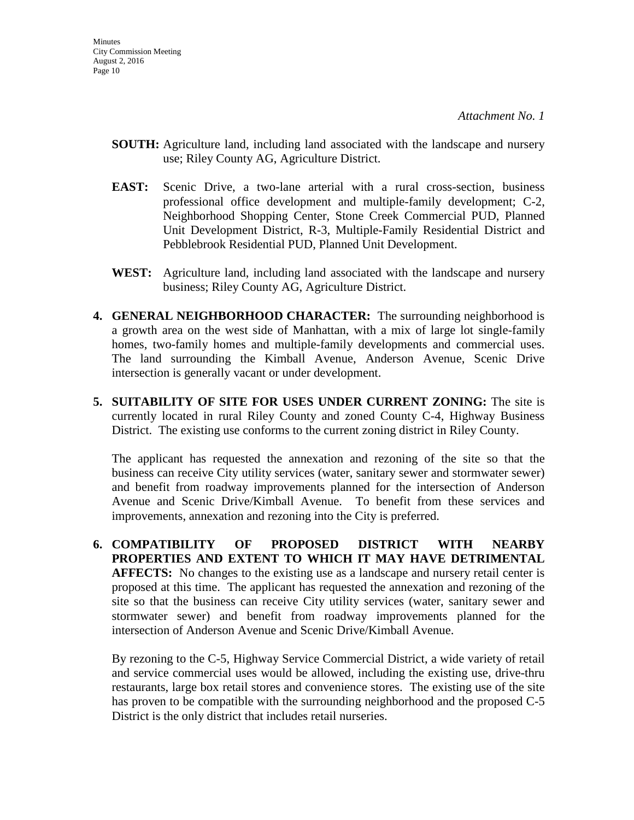- **SOUTH:** Agriculture land, including land associated with the landscape and nursery use; Riley County AG, Agriculture District.
- **EAST:** Scenic Drive, a two-lane arterial with a rural cross-section, business professional office development and multiple-family development; C-2, Neighborhood Shopping Center, Stone Creek Commercial PUD, Planned Unit Development District, R-3, Multiple-Family Residential District and Pebblebrook Residential PUD, Planned Unit Development.
- **WEST:** Agriculture land, including land associated with the landscape and nursery business; Riley County AG, Agriculture District.
- **4. GENERAL NEIGHBORHOOD CHARACTER:** The surrounding neighborhood is a growth area on the west side of Manhattan, with a mix of large lot single-family homes, two-family homes and multiple-family developments and commercial uses. The land surrounding the Kimball Avenue, Anderson Avenue, Scenic Drive intersection is generally vacant or under development.
- **5. SUITABILITY OF SITE FOR USES UNDER CURRENT ZONING:** The site is currently located in rural Riley County and zoned County C-4, Highway Business District. The existing use conforms to the current zoning district in Riley County.

The applicant has requested the annexation and rezoning of the site so that the business can receive City utility services (water, sanitary sewer and stormwater sewer) and benefit from roadway improvements planned for the intersection of Anderson Avenue and Scenic Drive/Kimball Avenue. To benefit from these services and improvements, annexation and rezoning into the City is preferred.

**6. COMPATIBILITY OF PROPOSED DISTRICT WITH NEARBY PROPERTIES AND EXTENT TO WHICH IT MAY HAVE DETRIMENTAL AFFECTS:** No changes to the existing use as a landscape and nursery retail center is proposed at this time. The applicant has requested the annexation and rezoning of the site so that the business can receive City utility services (water, sanitary sewer and stormwater sewer) and benefit from roadway improvements planned for the intersection of Anderson Avenue and Scenic Drive/Kimball Avenue.

By rezoning to the C-5, Highway Service Commercial District, a wide variety of retail and service commercial uses would be allowed, including the existing use, drive-thru restaurants, large box retail stores and convenience stores. The existing use of the site has proven to be compatible with the surrounding neighborhood and the proposed C-5 District is the only district that includes retail nurseries.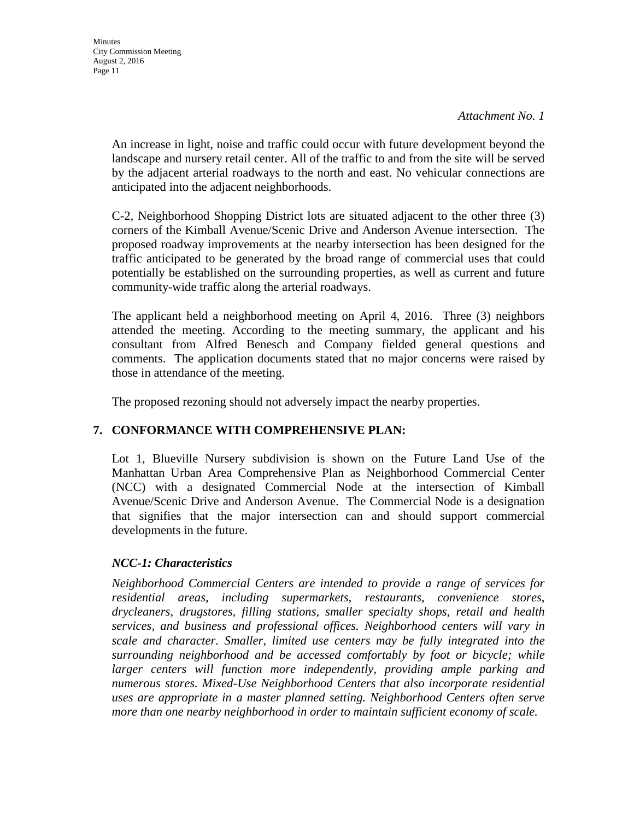An increase in light, noise and traffic could occur with future development beyond the landscape and nursery retail center. All of the traffic to and from the site will be served by the adjacent arterial roadways to the north and east. No vehicular connections are anticipated into the adjacent neighborhoods.

 C-2, Neighborhood Shopping District lots are situated adjacent to the other three (3) corners of the Kimball Avenue/Scenic Drive and Anderson Avenue intersection. The proposed roadway improvements at the nearby intersection has been designed for the traffic anticipated to be generated by the broad range of commercial uses that could potentially be established on the surrounding properties, as well as current and future community-wide traffic along the arterial roadways.

The applicant held a neighborhood meeting on April 4, 2016. Three (3) neighbors attended the meeting. According to the meeting summary, the applicant and his consultant from Alfred Benesch and Company fielded general questions and comments. The application documents stated that no major concerns were raised by those in attendance of the meeting.

The proposed rezoning should not adversely impact the nearby properties.

# **7. CONFORMANCE WITH COMPREHENSIVE PLAN:**

Lot 1, Blueville Nursery subdivision is shown on the Future Land Use of the Manhattan Urban Area Comprehensive Plan as Neighborhood Commercial Center (NCC) with a designated Commercial Node at the intersection of Kimball Avenue/Scenic Drive and Anderson Avenue. The Commercial Node is a designation that signifies that the major intersection can and should support commercial developments in the future.

# *NCC-1: Characteristics*

*Neighborhood Commercial Centers are intended to provide a range of services for residential areas, including supermarkets, restaurants, convenience stores, drycleaners, drugstores, filling stations, smaller specialty shops, retail and health services, and business and professional offices. Neighborhood centers will vary in scale and character. Smaller, limited use centers may be fully integrated into the surrounding neighborhood and be accessed comfortably by foot or bicycle; while larger centers will function more independently, providing ample parking and numerous stores. Mixed-Use Neighborhood Centers that also incorporate residential uses are appropriate in a master planned setting. Neighborhood Centers often serve more than one nearby neighborhood in order to maintain sufficient economy of scale.*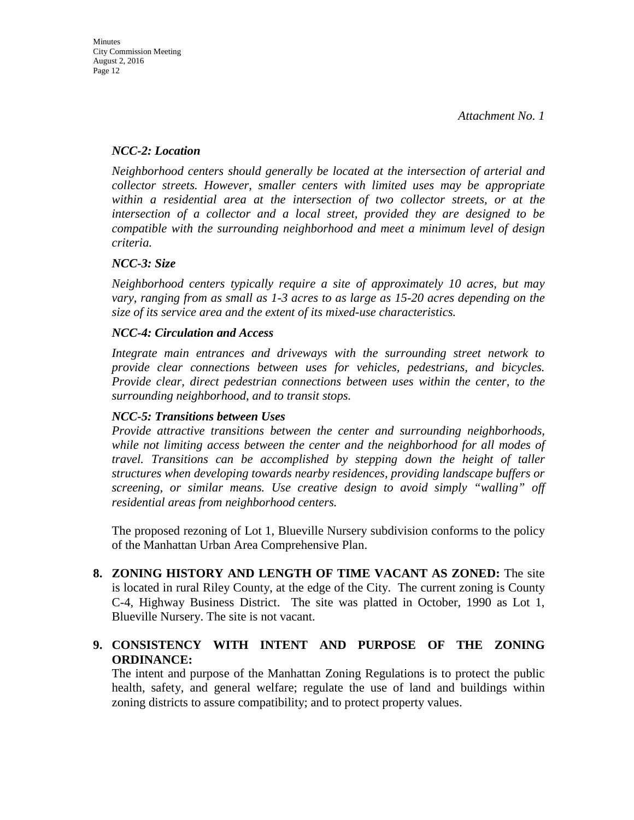# *NCC-2: Location*

*Neighborhood centers should generally be located at the intersection of arterial and collector streets. However, smaller centers with limited uses may be appropriate within a residential area at the intersection of two collector streets, or at the intersection of a collector and a local street, provided they are designed to be compatible with the surrounding neighborhood and meet a minimum level of design criteria.* 

# *NCC-3: Size*

*Neighborhood centers typically require a site of approximately 10 acres, but may vary, ranging from as small as 1-3 acres to as large as 15-20 acres depending on the size of its service area and the extent of its mixed-use characteristics.* 

# *NCC-4: Circulation and Access*

*Integrate main entrances and driveways with the surrounding street network to provide clear connections between uses for vehicles, pedestrians, and bicycles. Provide clear, direct pedestrian connections between uses within the center, to the surrounding neighborhood, and to transit stops.* 

# *NCC-5: Transitions between Uses*

*Provide attractive transitions between the center and surrounding neighborhoods,*  while not limiting access between the center and the neighborhood for all modes of *travel. Transitions can be accomplished by stepping down the height of taller structures when developing towards nearby residences, providing landscape buffers or screening, or similar means. Use creative design to avoid simply "walling" off residential areas from neighborhood centers.* 

The proposed rezoning of Lot 1, Blueville Nursery subdivision conforms to the policy of the Manhattan Urban Area Comprehensive Plan.

**8. ZONING HISTORY AND LENGTH OF TIME VACANT AS ZONED:** The site is located in rural Riley County, at the edge of the City. The current zoning is County C-4, Highway Business District. The site was platted in October, 1990 as Lot 1, Blueville Nursery. The site is not vacant.

# **9. CONSISTENCY WITH INTENT AND PURPOSE OF THE ZONING ORDINANCE:**

The intent and purpose of the Manhattan Zoning Regulations is to protect the public health, safety, and general welfare; regulate the use of land and buildings within zoning districts to assure compatibility; and to protect property values.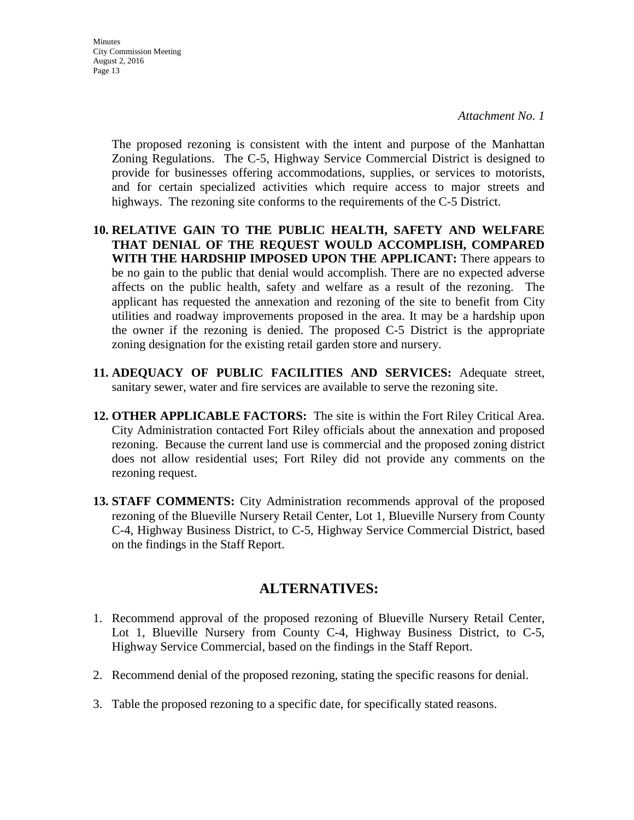**Minutes** City Commission Meeting August 2, 2016 Page 13

> The proposed rezoning is consistent with the intent and purpose of the Manhattan Zoning Regulations. The C-5, Highway Service Commercial District is designed to provide for businesses offering accommodations, supplies, or services to motorists, and for certain specialized activities which require access to major streets and highways. The rezoning site conforms to the requirements of the C-5 District.

- **10. RELATIVE GAIN TO THE PUBLIC HEALTH, SAFETY AND WELFARE THAT DENIAL OF THE REQUEST WOULD ACCOMPLISH, COMPARED WITH THE HARDSHIP IMPOSED UPON THE APPLICANT:** There appears to be no gain to the public that denial would accomplish. There are no expected adverse affects on the public health, safety and welfare as a result of the rezoning. The applicant has requested the annexation and rezoning of the site to benefit from City utilities and roadway improvements proposed in the area. It may be a hardship upon the owner if the rezoning is denied. The proposed C-5 District is the appropriate zoning designation for the existing retail garden store and nursery.
- **11. ADEQUACY OF PUBLIC FACILITIES AND SERVICES:** Adequate street, sanitary sewer, water and fire services are available to serve the rezoning site.
- **12. OTHER APPLICABLE FACTORS:** The site is within the Fort Riley Critical Area. City Administration contacted Fort Riley officials about the annexation and proposed rezoning. Because the current land use is commercial and the proposed zoning district does not allow residential uses; Fort Riley did not provide any comments on the rezoning request.
- **13. STAFF COMMENTS:** City Administration recommends approval of the proposed rezoning of the Blueville Nursery Retail Center, Lot 1, Blueville Nursery from County C-4, Highway Business District, to C-5, Highway Service Commercial District, based on the findings in the Staff Report.

# **ALTERNATIVES:**

- 1. Recommend approval of the proposed rezoning of Blueville Nursery Retail Center, Lot 1, Blueville Nursery from County C-4, Highway Business District, to C-5, Highway Service Commercial, based on the findings in the Staff Report.
- 2. Recommend denial of the proposed rezoning, stating the specific reasons for denial.
- 3. Table the proposed rezoning to a specific date, for specifically stated reasons.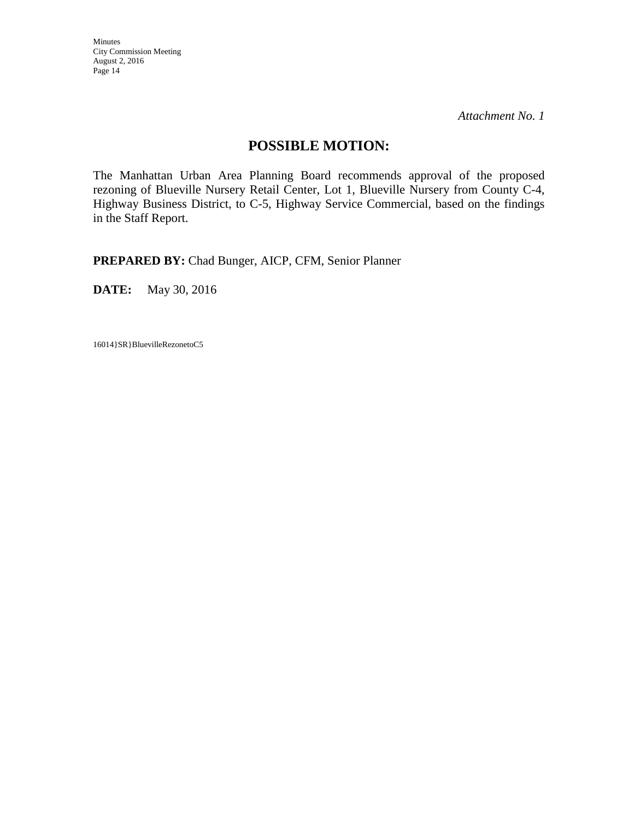*Attachment No. 1* 

# **POSSIBLE MOTION:**

The Manhattan Urban Area Planning Board recommends approval of the proposed rezoning of Blueville Nursery Retail Center, Lot 1, Blueville Nursery from County C-4, Highway Business District, to C-5, Highway Service Commercial, based on the findings in the Staff Report.

**PREPARED BY:** Chad Bunger, AICP, CFM, Senior Planner

**DATE:** May 30, 2016

16014}SR}BluevilleRezonetoC5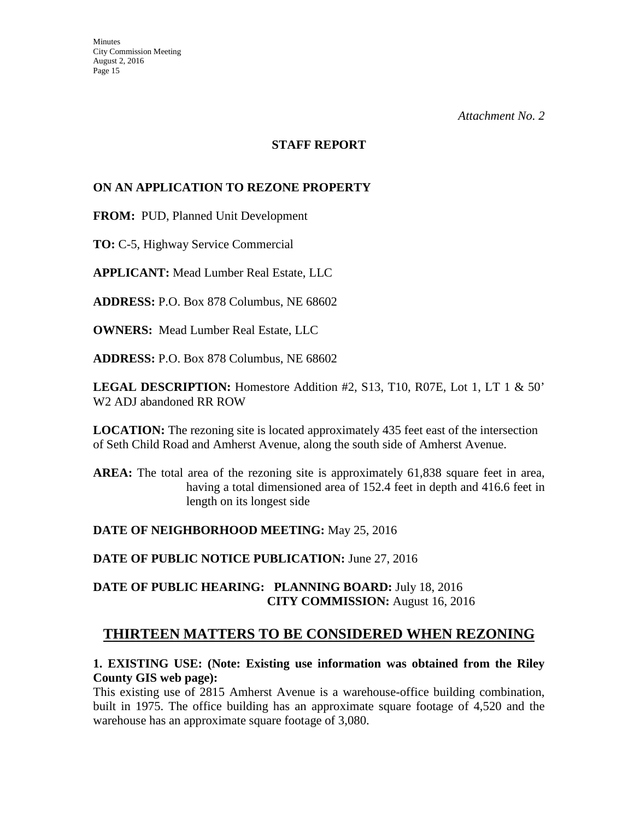#### **STAFF REPORT**

# **ON AN APPLICATION TO REZONE PROPERTY**

**FROM:** PUD, Planned Unit Development

**TO:** C-5, Highway Service Commercial

**APPLICANT:** Mead Lumber Real Estate, LLC

**ADDRESS:** P.O. Box 878 Columbus, NE 68602

**OWNERS:** Mead Lumber Real Estate, LLC

**ADDRESS:** P.O. Box 878 Columbus, NE 68602

**LEGAL DESCRIPTION:** Homestore Addition #2, S13, T10, R07E, Lot 1, LT 1 & 50' W2 ADJ abandoned RR ROW

**LOCATION:** The rezoning site is located approximately 435 feet east of the intersection of Seth Child Road and Amherst Avenue, along the south side of Amherst Avenue.

AREA: The total area of the rezoning site is approximately 61,838 square feet in area, having a total dimensioned area of 152.4 feet in depth and 416.6 feet in length on its longest side

# **DATE OF NEIGHBORHOOD MEETING:** May 25, 2016

**DATE OF PUBLIC NOTICE PUBLICATION:** June 27, 2016

# **DATE OF PUBLIC HEARING: PLANNING BOARD:** July 18, 2016 **CITY COMMISSION:** August 16, 2016

# **THIRTEEN MATTERS TO BE CONSIDERED WHEN REZONING**

### **1. EXISTING USE: (Note: Existing use information was obtained from the Riley County GIS web page):**

This existing use of 2815 Amherst Avenue is a warehouse-office building combination, built in 1975. The office building has an approximate square footage of 4,520 and the warehouse has an approximate square footage of 3,080.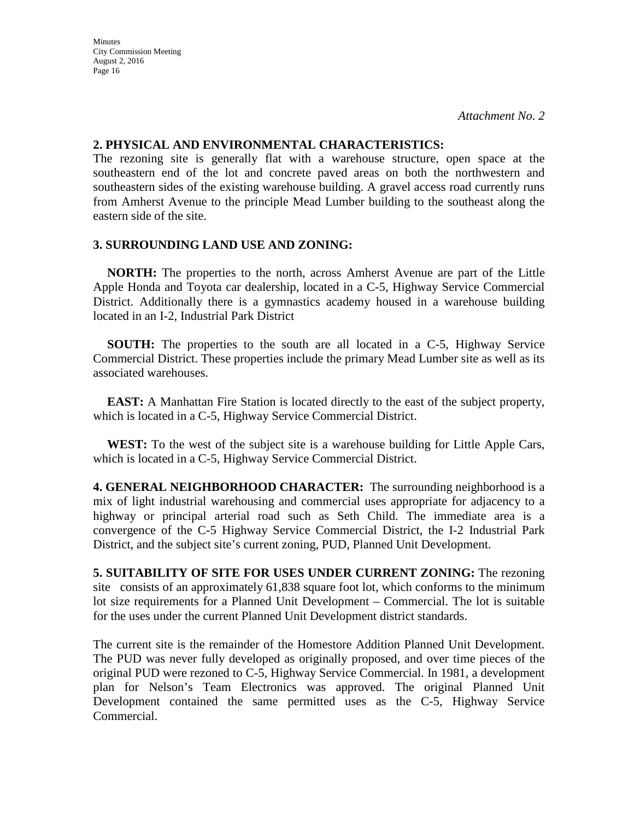#### **2. PHYSICAL AND ENVIRONMENTAL CHARACTERISTICS:**

The rezoning site is generally flat with a warehouse structure, open space at the southeastern end of the lot and concrete paved areas on both the northwestern and southeastern sides of the existing warehouse building. A gravel access road currently runs from Amherst Avenue to the principle Mead Lumber building to the southeast along the eastern side of the site.

### **3. SURROUNDING LAND USE AND ZONING:**

 **NORTH:** The properties to the north, across Amherst Avenue are part of the Little Apple Honda and Toyota car dealership, located in a C-5, Highway Service Commercial District. Additionally there is a gymnastics academy housed in a warehouse building located in an I-2, Industrial Park District

**SOUTH:** The properties to the south are all located in a C-5, Highway Service Commercial District. These properties include the primary Mead Lumber site as well as its associated warehouses.

**EAST:** A Manhattan Fire Station is located directly to the east of the subject property, which is located in a C-5, Highway Service Commercial District.

**WEST:** To the west of the subject site is a warehouse building for Little Apple Cars, which is located in a C-5, Highway Service Commercial District.

**4. GENERAL NEIGHBORHOOD CHARACTER:** The surrounding neighborhood is a mix of light industrial warehousing and commercial uses appropriate for adjacency to a highway or principal arterial road such as Seth Child. The immediate area is a convergence of the C-5 Highway Service Commercial District, the I-2 Industrial Park District, and the subject site's current zoning, PUD, Planned Unit Development.

**5. SUITABILITY OF SITE FOR USES UNDER CURRENT ZONING:** The rezoning site consists of an approximately 61,838 square foot lot, which conforms to the minimum lot size requirements for a Planned Unit Development – Commercial. The lot is suitable for the uses under the current Planned Unit Development district standards.

The current site is the remainder of the Homestore Addition Planned Unit Development. The PUD was never fully developed as originally proposed, and over time pieces of the original PUD were rezoned to C-5, Highway Service Commercial. In 1981, a development plan for Nelson's Team Electronics was approved. The original Planned Unit Development contained the same permitted uses as the C-5, Highway Service Commercial.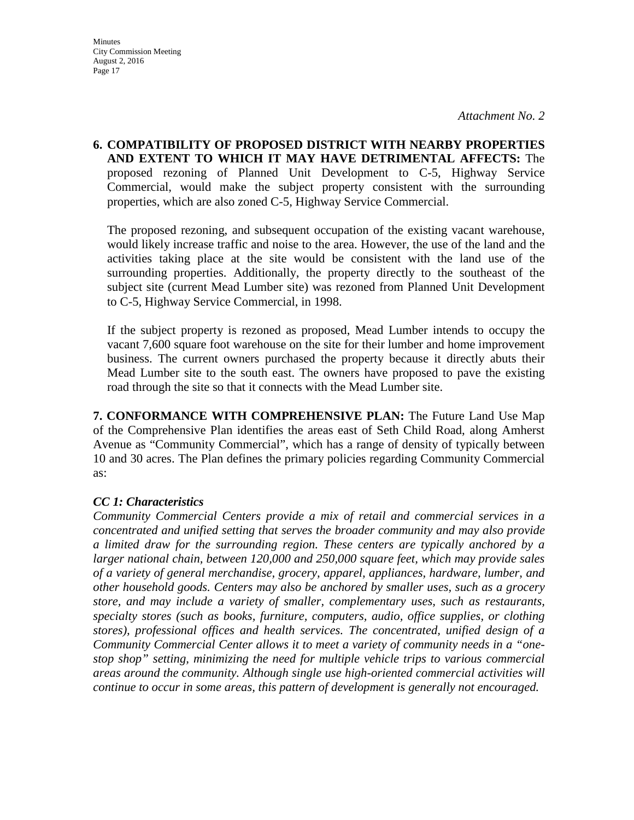**6. COMPATIBILITY OF PROPOSED DISTRICT WITH NEARBY PROPERTIES AND EXTENT TO WHICH IT MAY HAVE DETRIMENTAL AFFECTS:** The proposed rezoning of Planned Unit Development to C-5, Highway Service Commercial, would make the subject property consistent with the surrounding properties, which are also zoned C-5, Highway Service Commercial.

The proposed rezoning, and subsequent occupation of the existing vacant warehouse, would likely increase traffic and noise to the area. However, the use of the land and the activities taking place at the site would be consistent with the land use of the surrounding properties. Additionally, the property directly to the southeast of the subject site (current Mead Lumber site) was rezoned from Planned Unit Development to C-5, Highway Service Commercial, in 1998.

If the subject property is rezoned as proposed, Mead Lumber intends to occupy the vacant 7,600 square foot warehouse on the site for their lumber and home improvement business. The current owners purchased the property because it directly abuts their Mead Lumber site to the south east. The owners have proposed to pave the existing road through the site so that it connects with the Mead Lumber site.

**7. CONFORMANCE WITH COMPREHENSIVE PLAN:** The Future Land Use Map of the Comprehensive Plan identifies the areas east of Seth Child Road, along Amherst Avenue as "Community Commercial", which has a range of density of typically between 10 and 30 acres. The Plan defines the primary policies regarding Community Commercial as:

# *CC 1: Characteristics*

*Community Commercial Centers provide a mix of retail and commercial services in a concentrated and unified setting that serves the broader community and may also provide a limited draw for the surrounding region. These centers are typically anchored by a larger national chain, between 120,000 and 250,000 square feet, which may provide sales of a variety of general merchandise, grocery, apparel, appliances, hardware, lumber, and other household goods. Centers may also be anchored by smaller uses, such as a grocery store, and may include a variety of smaller, complementary uses, such as restaurants, specialty stores (such as books, furniture, computers, audio, office supplies, or clothing stores), professional offices and health services. The concentrated, unified design of a Community Commercial Center allows it to meet a variety of community needs in a "onestop shop" setting, minimizing the need for multiple vehicle trips to various commercial areas around the community. Although single use high-oriented commercial activities will continue to occur in some areas, this pattern of development is generally not encouraged.*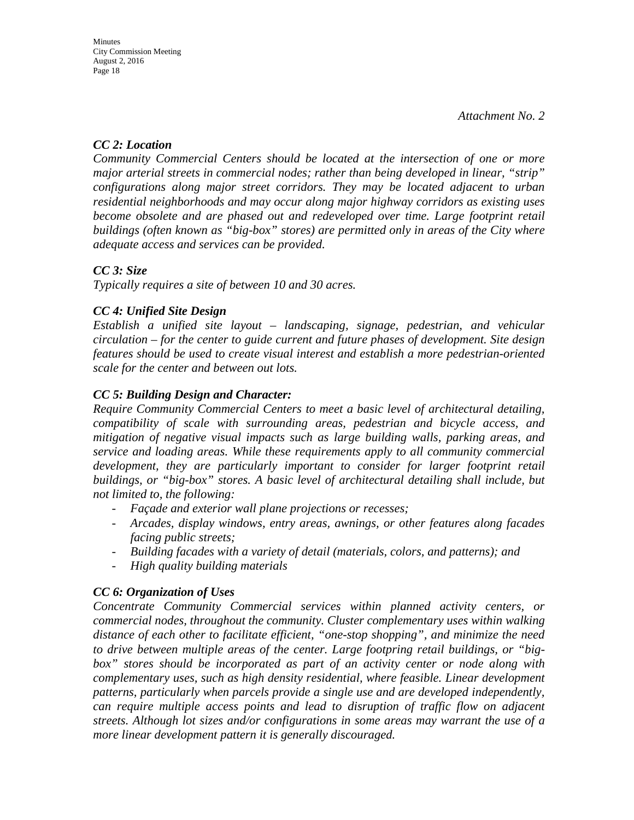# *CC 2: Location*

*Community Commercial Centers should be located at the intersection of one or more major arterial streets in commercial nodes; rather than being developed in linear, "strip" configurations along major street corridors. They may be located adjacent to urban residential neighborhoods and may occur along major highway corridors as existing uses*  become obsolete and are phased out and redeveloped over time. Large footprint retail *buildings (often known as "big-box" stores) are permitted only in areas of the City where adequate access and services can be provided.* 

# *CC 3: Size*

*Typically requires a site of between 10 and 30 acres.* 

# *CC 4: Unified Site Design*

*Establish a unified site layout – landscaping, signage, pedestrian, and vehicular circulation – for the center to guide current and future phases of development. Site design features should be used to create visual interest and establish a more pedestrian-oriented scale for the center and between out lots.* 

# *CC 5: Building Design and Character:*

*Require Community Commercial Centers to meet a basic level of architectural detailing, compatibility of scale with surrounding areas, pedestrian and bicycle access, and mitigation of negative visual impacts such as large building walls, parking areas, and service and loading areas. While these requirements apply to all community commercial*  development, they are particularly important to consider for larger footprint retail *buildings, or "big-box" stores. A basic level of architectural detailing shall include, but not limited to, the following:* 

- *Façade and exterior wall plane projections or recesses;*
- *Arcades, display windows, entry areas, awnings, or other features along facades facing public streets;*
- *Building facades with a variety of detail (materials, colors, and patterns); and*
- *High quality building materials*

# *CC 6: Organization of Uses*

*Concentrate Community Commercial services within planned activity centers, or commercial nodes, throughout the community. Cluster complementary uses within walking distance of each other to facilitate efficient, "one-stop shopping", and minimize the need to drive between multiple areas of the center. Large footpring retail buildings, or "bigbox" stores should be incorporated as part of an activity center or node along with complementary uses, such as high density residential, where feasible. Linear development patterns, particularly when parcels provide a single use and are developed independently, can require multiple access points and lead to disruption of traffic flow on adjacent streets. Although lot sizes and/or configurations in some areas may warrant the use of a more linear development pattern it is generally discouraged.*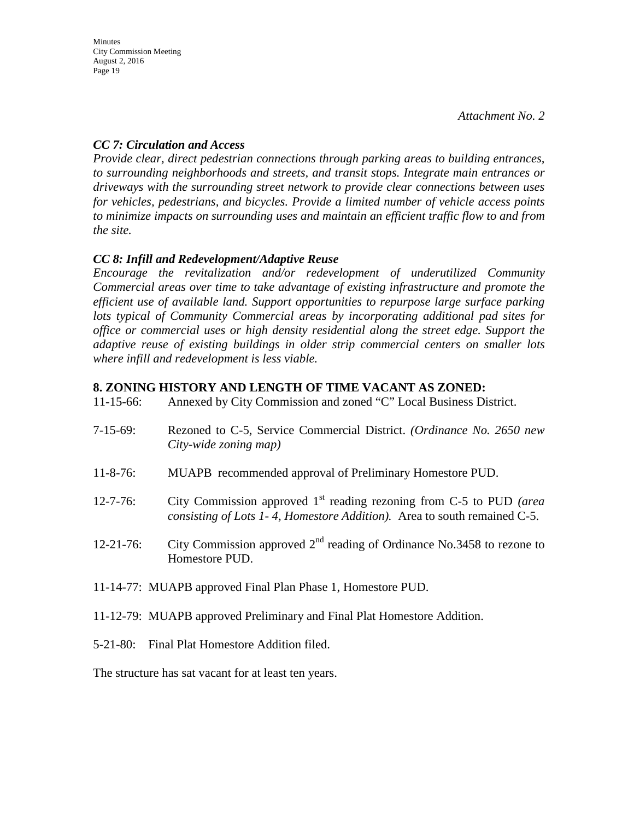# *CC 7: Circulation and Access*

*Provide clear, direct pedestrian connections through parking areas to building entrances, to surrounding neighborhoods and streets, and transit stops. Integrate main entrances or driveways with the surrounding street network to provide clear connections between uses for vehicles, pedestrians, and bicycles. Provide a limited number of vehicle access points to minimize impacts on surrounding uses and maintain an efficient traffic flow to and from the site.*

# *CC 8: Infill and Redevelopment/Adaptive Reuse*

*Encourage the revitalization and/or redevelopment of underutilized Community Commercial areas over time to take advantage of existing infrastructure and promote the efficient use of available land. Support opportunities to repurpose large surface parking lots typical of Community Commercial areas by incorporating additional pad sites for office or commercial uses or high density residential along the street edge. Support the adaptive reuse of existing buildings in older strip commercial centers on smaller lots where infill and redevelopment is less viable.* 

# **8. ZONING HISTORY AND LENGTH OF TIME VACANT AS ZONED:**

| $11 - 15 - 66$ : | Annexed by City Commission and zoned "C" Local Business District. |
|------------------|-------------------------------------------------------------------|
|                  |                                                                   |

- 7-15-69: Rezoned to C-5, Service Commercial District. *(Ordinance No. 2650 new City-wide zoning map)*
- 11-8-76: MUAPB recommended approval of Preliminary Homestore PUD.
- 12-7-76: City Commission approved 1st reading rezoning from C-5 to PUD *(area consisting of Lots 1- 4, Homestore Addition).* Area to south remained C-5.
- 12-21-76: City Commission approved  $2<sup>nd</sup>$  reading of Ordinance No.3458 to rezone to Homestore PUD.
- 11-14-77: MUAPB approved Final Plan Phase 1, Homestore PUD.
- 11-12-79: MUAPB approved Preliminary and Final Plat Homestore Addition.
- 5-21-80: Final Plat Homestore Addition filed.

The structure has sat vacant for at least ten years.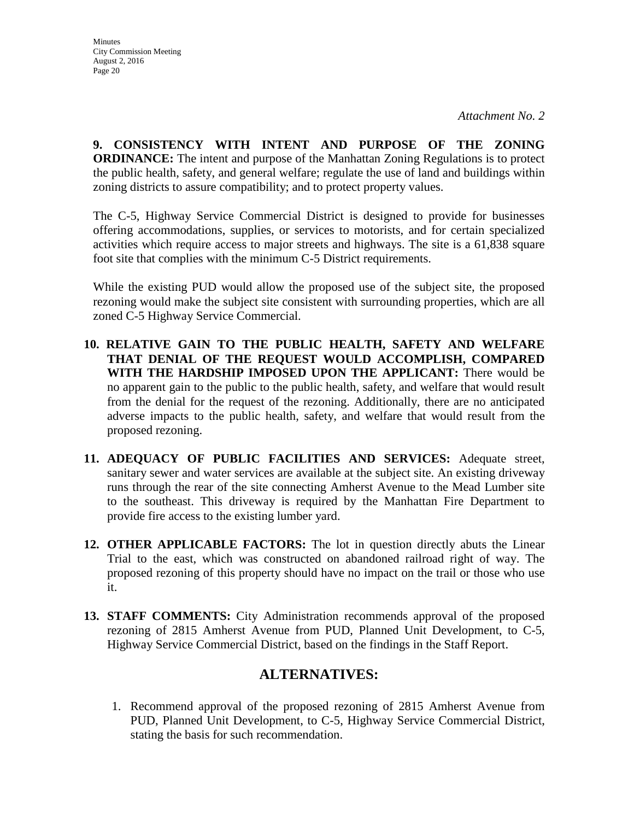**9. CONSISTENCY WITH INTENT AND PURPOSE OF THE ZONING ORDINANCE:** The intent and purpose of the Manhattan Zoning Regulations is to protect the public health, safety, and general welfare; regulate the use of land and buildings within zoning districts to assure compatibility; and to protect property values.

The C-5, Highway Service Commercial District is designed to provide for businesses offering accommodations, supplies, or services to motorists, and for certain specialized activities which require access to major streets and highways. The site is a 61,838 square foot site that complies with the minimum C-5 District requirements.

While the existing PUD would allow the proposed use of the subject site, the proposed rezoning would make the subject site consistent with surrounding properties, which are all zoned C-5 Highway Service Commercial.

- **10. RELATIVE GAIN TO THE PUBLIC HEALTH, SAFETY AND WELFARE THAT DENIAL OF THE REQUEST WOULD ACCOMPLISH, COMPARED WITH THE HARDSHIP IMPOSED UPON THE APPLICANT:** There would be no apparent gain to the public to the public health, safety, and welfare that would result from the denial for the request of the rezoning. Additionally, there are no anticipated adverse impacts to the public health, safety, and welfare that would result from the proposed rezoning.
- **11. ADEQUACY OF PUBLIC FACILITIES AND SERVICES:** Adequate street, sanitary sewer and water services are available at the subject site. An existing driveway runs through the rear of the site connecting Amherst Avenue to the Mead Lumber site to the southeast. This driveway is required by the Manhattan Fire Department to provide fire access to the existing lumber yard.
- **12. OTHER APPLICABLE FACTORS:** The lot in question directly abuts the Linear Trial to the east, which was constructed on abandoned railroad right of way. The proposed rezoning of this property should have no impact on the trail or those who use it.
- **13. STAFF COMMENTS:** City Administration recommends approval of the proposed rezoning of 2815 Amherst Avenue from PUD, Planned Unit Development, to C-5, Highway Service Commercial District, based on the findings in the Staff Report.

# **ALTERNATIVES:**

1. Recommend approval of the proposed rezoning of 2815 Amherst Avenue from PUD, Planned Unit Development, to C-5, Highway Service Commercial District, stating the basis for such recommendation.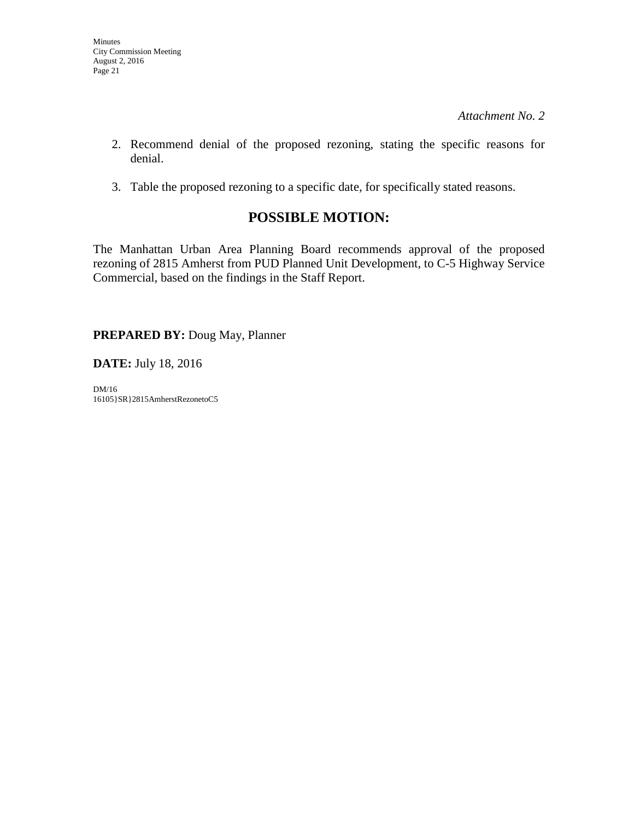- 2. Recommend denial of the proposed rezoning, stating the specific reasons for denial.
- 3. Table the proposed rezoning to a specific date, for specifically stated reasons.

# **POSSIBLE MOTION:**

The Manhattan Urban Area Planning Board recommends approval of the proposed rezoning of 2815 Amherst from PUD Planned Unit Development, to C-5 Highway Service Commercial, based on the findings in the Staff Report.

**PREPARED BY:** Doug May, Planner

**DATE:** July 18, 2016

DM/16 16105}SR}2815AmherstRezonetoC5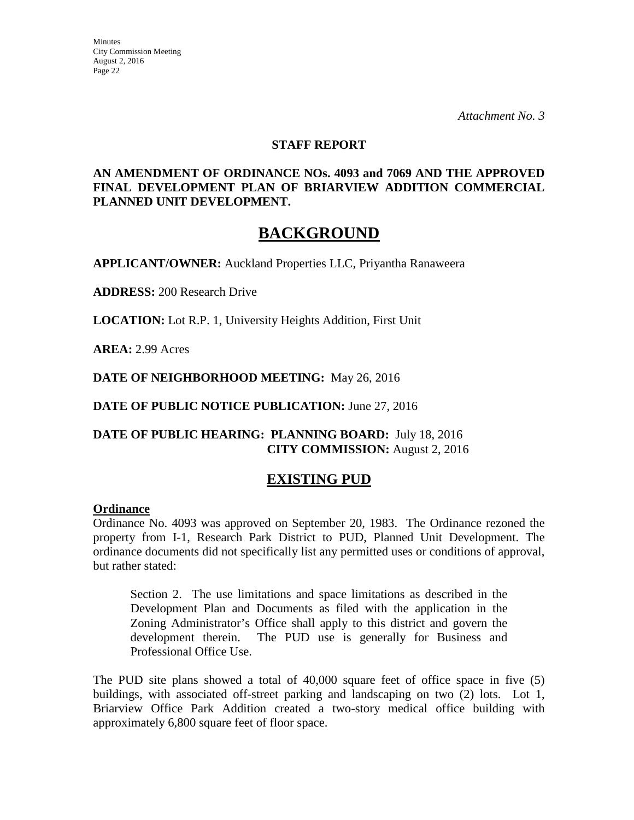*Attachment No. 3* 

#### **STAFF REPORT**

### **AN AMENDMENT OF ORDINANCE NOs. 4093 and 7069 AND THE APPROVED FINAL DEVELOPMENT PLAN OF BRIARVIEW ADDITION COMMERCIAL PLANNED UNIT DEVELOPMENT.**

# **BACKGROUND**

**APPLICANT/OWNER:** Auckland Properties LLC, Priyantha Ranaweera

**ADDRESS:** 200 Research Drive

**LOCATION:** Lot R.P. 1, University Heights Addition, First Unit

**AREA:** 2.99 Acres

**DATE OF NEIGHBORHOOD MEETING:** May 26, 2016

**DATE OF PUBLIC NOTICE PUBLICATION:** June 27, 2016

# **DATE OF PUBLIC HEARING: PLANNING BOARD:** July 18, 2016 **CITY COMMISSION:** August 2, 2016

# **EXISTING PUD**

#### **Ordinance**

Ordinance No. 4093 was approved on September 20, 1983. The Ordinance rezoned the property from I-1, Research Park District to PUD, Planned Unit Development. The ordinance documents did not specifically list any permitted uses or conditions of approval, but rather stated:

Section 2. The use limitations and space limitations as described in the Development Plan and Documents as filed with the application in the Zoning Administrator's Office shall apply to this district and govern the development therein. The PUD use is generally for Business and Professional Office Use.

The PUD site plans showed a total of 40,000 square feet of office space in five (5) buildings, with associated off-street parking and landscaping on two (2) lots. Lot 1, Briarview Office Park Addition created a two-story medical office building with approximately 6,800 square feet of floor space.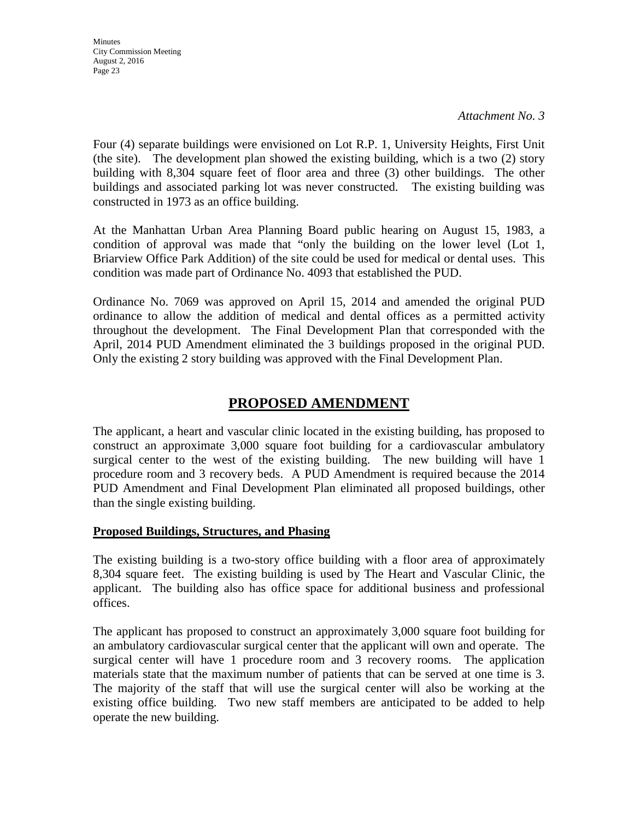*Attachment No. 3* 

Four (4) separate buildings were envisioned on Lot R.P. 1, University Heights, First Unit (the site). The development plan showed the existing building, which is a two (2) story building with 8,304 square feet of floor area and three (3) other buildings. The other buildings and associated parking lot was never constructed. The existing building was constructed in 1973 as an office building.

At the Manhattan Urban Area Planning Board public hearing on August 15, 1983, a condition of approval was made that "only the building on the lower level (Lot 1, Briarview Office Park Addition) of the site could be used for medical or dental uses. This condition was made part of Ordinance No. 4093 that established the PUD.

Ordinance No. 7069 was approved on April 15, 2014 and amended the original PUD ordinance to allow the addition of medical and dental offices as a permitted activity throughout the development. The Final Development Plan that corresponded with the April, 2014 PUD Amendment eliminated the 3 buildings proposed in the original PUD. Only the existing 2 story building was approved with the Final Development Plan.

# **PROPOSED AMENDMENT**

The applicant, a heart and vascular clinic located in the existing building, has proposed to construct an approximate 3,000 square foot building for a cardiovascular ambulatory surgical center to the west of the existing building. The new building will have 1 procedure room and 3 recovery beds. A PUD Amendment is required because the 2014 PUD Amendment and Final Development Plan eliminated all proposed buildings, other than the single existing building.

# **Proposed Buildings, Structures, and Phasing**

The existing building is a two-story office building with a floor area of approximately 8,304 square feet. The existing building is used by The Heart and Vascular Clinic, the applicant. The building also has office space for additional business and professional offices.

The applicant has proposed to construct an approximately 3,000 square foot building for an ambulatory cardiovascular surgical center that the applicant will own and operate. The surgical center will have 1 procedure room and 3 recovery rooms. The application materials state that the maximum number of patients that can be served at one time is 3. The majority of the staff that will use the surgical center will also be working at the existing office building. Two new staff members are anticipated to be added to help operate the new building.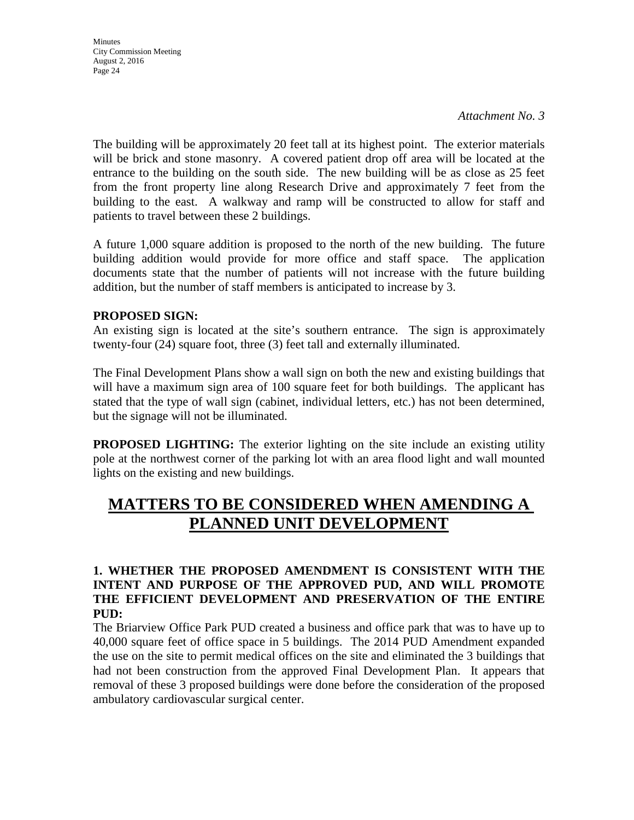The building will be approximately 20 feet tall at its highest point. The exterior materials will be brick and stone masonry. A covered patient drop off area will be located at the entrance to the building on the south side. The new building will be as close as 25 feet from the front property line along Research Drive and approximately 7 feet from the building to the east. A walkway and ramp will be constructed to allow for staff and patients to travel between these 2 buildings.

A future 1,000 square addition is proposed to the north of the new building. The future building addition would provide for more office and staff space. The application documents state that the number of patients will not increase with the future building addition, but the number of staff members is anticipated to increase by 3.

# **PROPOSED SIGN:**

An existing sign is located at the site's southern entrance. The sign is approximately twenty-four (24) square foot, three (3) feet tall and externally illuminated.

The Final Development Plans show a wall sign on both the new and existing buildings that will have a maximum sign area of 100 square feet for both buildings. The applicant has stated that the type of wall sign (cabinet, individual letters, etc.) has not been determined, but the signage will not be illuminated.

**PROPOSED LIGHTING:** The exterior lighting on the site include an existing utility pole at the northwest corner of the parking lot with an area flood light and wall mounted lights on the existing and new buildings.

# **MATTERS TO BE CONSIDERED WHEN AMENDING A PLANNED UNIT DEVELOPMENT**

# **1. WHETHER THE PROPOSED AMENDMENT IS CONSISTENT WITH THE INTENT AND PURPOSE OF THE APPROVED PUD, AND WILL PROMOTE THE EFFICIENT DEVELOPMENT AND PRESERVATION OF THE ENTIRE PUD:**

The Briarview Office Park PUD created a business and office park that was to have up to 40,000 square feet of office space in 5 buildings. The 2014 PUD Amendment expanded the use on the site to permit medical offices on the site and eliminated the 3 buildings that had not been construction from the approved Final Development Plan. It appears that removal of these 3 proposed buildings were done before the consideration of the proposed ambulatory cardiovascular surgical center.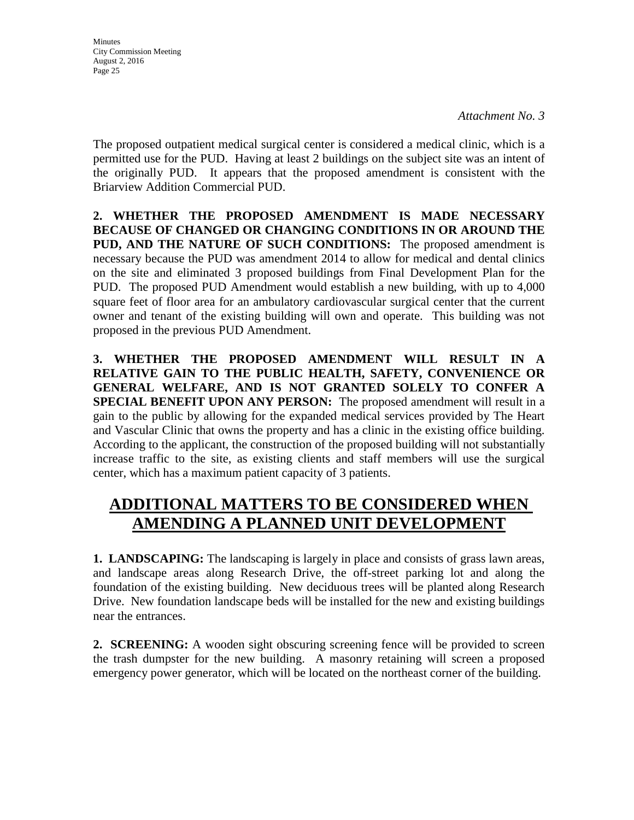*Attachment No. 3* 

The proposed outpatient medical surgical center is considered a medical clinic, which is a permitted use for the PUD. Having at least 2 buildings on the subject site was an intent of the originally PUD. It appears that the proposed amendment is consistent with the Briarview Addition Commercial PUD.

**2. WHETHER THE PROPOSED AMENDMENT IS MADE NECESSARY BECAUSE OF CHANGED OR CHANGING CONDITIONS IN OR AROUND THE PUD, AND THE NATURE OF SUCH CONDITIONS:** The proposed amendment is necessary because the PUD was amendment 2014 to allow for medical and dental clinics on the site and eliminated 3 proposed buildings from Final Development Plan for the PUD. The proposed PUD Amendment would establish a new building, with up to 4,000 square feet of floor area for an ambulatory cardiovascular surgical center that the current owner and tenant of the existing building will own and operate. This building was not proposed in the previous PUD Amendment.

**3. WHETHER THE PROPOSED AMENDMENT WILL RESULT IN A RELATIVE GAIN TO THE PUBLIC HEALTH, SAFETY, CONVENIENCE OR GENERAL WELFARE, AND IS NOT GRANTED SOLELY TO CONFER A SPECIAL BENEFIT UPON ANY PERSON:** The proposed amendment will result in a gain to the public by allowing for the expanded medical services provided by The Heart and Vascular Clinic that owns the property and has a clinic in the existing office building. According to the applicant, the construction of the proposed building will not substantially increase traffic to the site, as existing clients and staff members will use the surgical center, which has a maximum patient capacity of 3 patients.

# **ADDITIONAL MATTERS TO BE CONSIDERED WHEN AMENDING A PLANNED UNIT DEVELOPMENT**

**1. LANDSCAPING:** The landscaping is largely in place and consists of grass lawn areas, and landscape areas along Research Drive, the off-street parking lot and along the foundation of the existing building. New deciduous trees will be planted along Research Drive. New foundation landscape beds will be installed for the new and existing buildings near the entrances.

**2. SCREENING:** A wooden sight obscuring screening fence will be provided to screen the trash dumpster for the new building. A masonry retaining will screen a proposed emergency power generator, which will be located on the northeast corner of the building.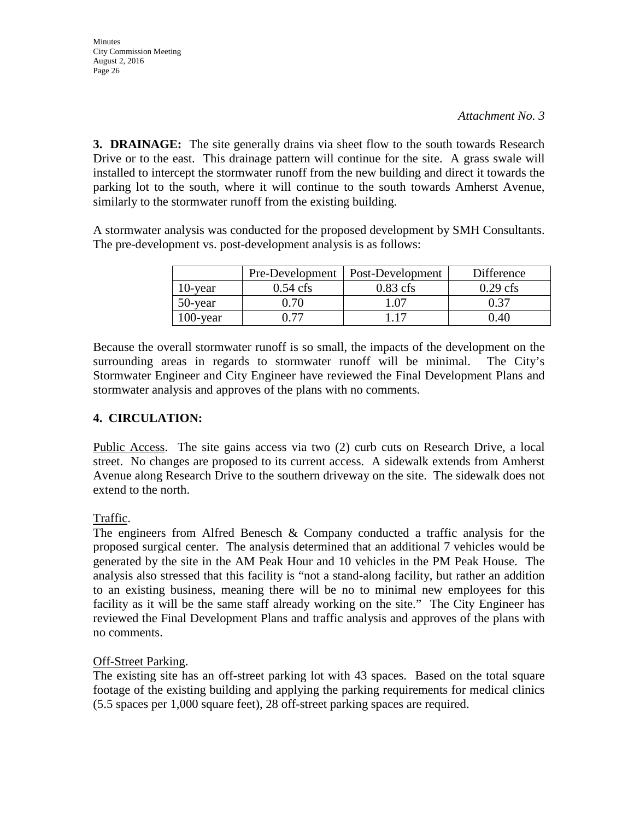**Minutes** City Commission Meeting August 2, 2016 Page 26

**3. DRAINAGE:** The site generally drains via sheet flow to the south towards Research Drive or to the east. This drainage pattern will continue for the site. A grass swale will installed to intercept the stormwater runoff from the new building and direct it towards the parking lot to the south, where it will continue to the south towards Amherst Avenue, similarly to the stormwater runoff from the existing building.

A stormwater analysis was conducted for the proposed development by SMH Consultants. The pre-development vs. post-development analysis is as follows:

|             |                    | Pre-Development   Post-Development | Difference |
|-------------|--------------------|------------------------------------|------------|
| 10-year     | $0.54 \text{ cfs}$ | $0.83$ cfs                         | $0.29$ cfs |
| 50-year     | 0 70               | .07                                | 0.37       |
| $100$ -year | በ 77               |                                    | 0.40       |

Because the overall stormwater runoff is so small, the impacts of the development on the surrounding areas in regards to stormwater runoff will be minimal. The City's Stormwater Engineer and City Engineer have reviewed the Final Development Plans and stormwater analysis and approves of the plans with no comments.

# **4. CIRCULATION:**

Public Access. The site gains access via two (2) curb cuts on Research Drive, a local street. No changes are proposed to its current access. A sidewalk extends from Amherst Avenue along Research Drive to the southern driveway on the site. The sidewalk does not extend to the north.

# Traffic.

The engineers from Alfred Benesch & Company conducted a traffic analysis for the proposed surgical center. The analysis determined that an additional 7 vehicles would be generated by the site in the AM Peak Hour and 10 vehicles in the PM Peak House. The analysis also stressed that this facility is "not a stand-along facility, but rather an addition to an existing business, meaning there will be no to minimal new employees for this facility as it will be the same staff already working on the site." The City Engineer has reviewed the Final Development Plans and traffic analysis and approves of the plans with no comments.

# Off-Street Parking.

The existing site has an off-street parking lot with 43 spaces. Based on the total square footage of the existing building and applying the parking requirements for medical clinics (5.5 spaces per 1,000 square feet), 28 off-street parking spaces are required.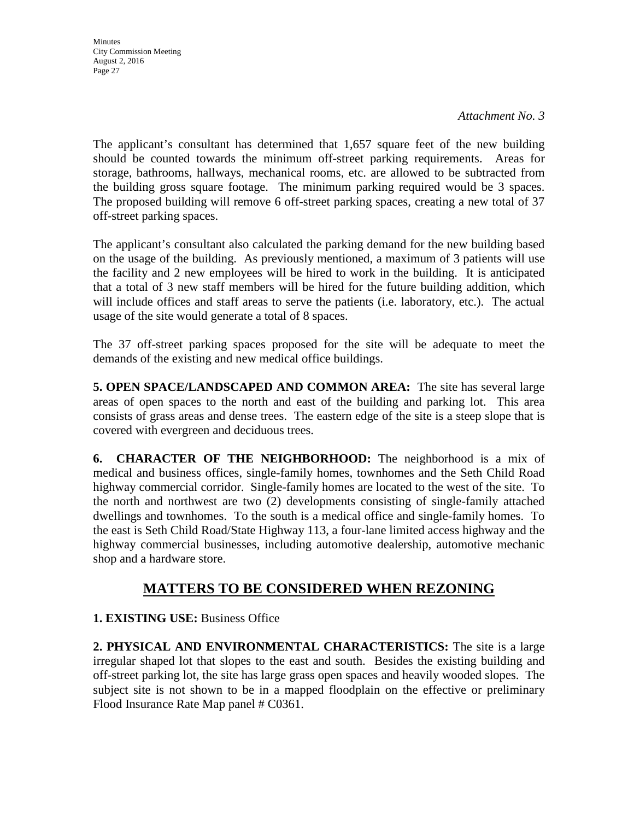*Attachment No. 3* 

The applicant's consultant has determined that 1,657 square feet of the new building should be counted towards the minimum off-street parking requirements. Areas for storage, bathrooms, hallways, mechanical rooms, etc. are allowed to be subtracted from the building gross square footage. The minimum parking required would be 3 spaces. The proposed building will remove 6 off-street parking spaces, creating a new total of 37 off-street parking spaces.

The applicant's consultant also calculated the parking demand for the new building based on the usage of the building. As previously mentioned, a maximum of 3 patients will use the facility and 2 new employees will be hired to work in the building. It is anticipated that a total of 3 new staff members will be hired for the future building addition, which will include offices and staff areas to serve the patients (i.e. laboratory, etc.). The actual usage of the site would generate a total of 8 spaces.

The 37 off-street parking spaces proposed for the site will be adequate to meet the demands of the existing and new medical office buildings.

**5. OPEN SPACE/LANDSCAPED AND COMMON AREA:** The site has several large areas of open spaces to the north and east of the building and parking lot. This area consists of grass areas and dense trees. The eastern edge of the site is a steep slope that is covered with evergreen and deciduous trees.

**6. CHARACTER OF THE NEIGHBORHOOD:** The neighborhood is a mix of medical and business offices, single-family homes, townhomes and the Seth Child Road highway commercial corridor. Single-family homes are located to the west of the site. To the north and northwest are two (2) developments consisting of single-family attached dwellings and townhomes. To the south is a medical office and single-family homes. To the east is Seth Child Road/State Highway 113, a four-lane limited access highway and the highway commercial businesses, including automotive dealership, automotive mechanic shop and a hardware store.

# **MATTERS TO BE CONSIDERED WHEN REZONING**

**1. EXISTING USE:** Business Office

**2. PHYSICAL AND ENVIRONMENTAL CHARACTERISTICS:** The site is a large irregular shaped lot that slopes to the east and south. Besides the existing building and off-street parking lot, the site has large grass open spaces and heavily wooded slopes. The subject site is not shown to be in a mapped floodplain on the effective or preliminary Flood Insurance Rate Map panel # C0361.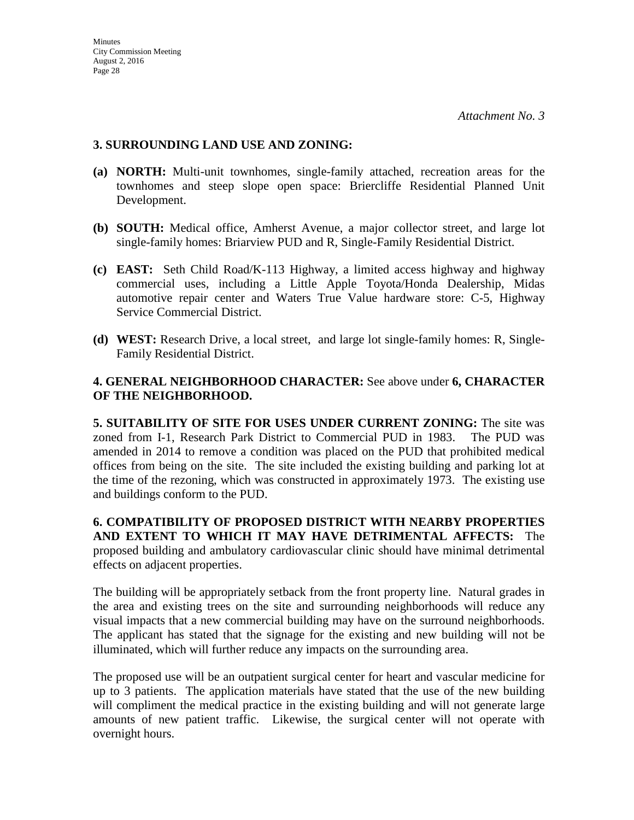### **3. SURROUNDING LAND USE AND ZONING:**

- **(a) NORTH:** Multi-unit townhomes, single-family attached, recreation areas for the townhomes and steep slope open space: Briercliffe Residential Planned Unit Development.
- **(b) SOUTH:** Medical office, Amherst Avenue, a major collector street, and large lot single-family homes: Briarview PUD and R, Single-Family Residential District.
- **(c) EAST:** Seth Child Road/K-113 Highway, a limited access highway and highway commercial uses, including a Little Apple Toyota/Honda Dealership, Midas automotive repair center and Waters True Value hardware store: C-5, Highway Service Commercial District.
- **(d) WEST:** Research Drive, a local street, and large lot single-family homes: R, Single-Family Residential District.

# **4. GENERAL NEIGHBORHOOD CHARACTER:** See above under **6, CHARACTER OF THE NEIGHBORHOOD.**

**5. SUITABILITY OF SITE FOR USES UNDER CURRENT ZONING:** The site was zoned from I-1, Research Park District to Commercial PUD in 1983. The PUD was amended in 2014 to remove a condition was placed on the PUD that prohibited medical offices from being on the site. The site included the existing building and parking lot at the time of the rezoning, which was constructed in approximately 1973. The existing use and buildings conform to the PUD.

**6. COMPATIBILITY OF PROPOSED DISTRICT WITH NEARBY PROPERTIES AND EXTENT TO WHICH IT MAY HAVE DETRIMENTAL AFFECTS:** The proposed building and ambulatory cardiovascular clinic should have minimal detrimental effects on adjacent properties.

The building will be appropriately setback from the front property line. Natural grades in the area and existing trees on the site and surrounding neighborhoods will reduce any visual impacts that a new commercial building may have on the surround neighborhoods. The applicant has stated that the signage for the existing and new building will not be illuminated, which will further reduce any impacts on the surrounding area.

The proposed use will be an outpatient surgical center for heart and vascular medicine for up to 3 patients. The application materials have stated that the use of the new building will compliment the medical practice in the existing building and will not generate large amounts of new patient traffic. Likewise, the surgical center will not operate with overnight hours.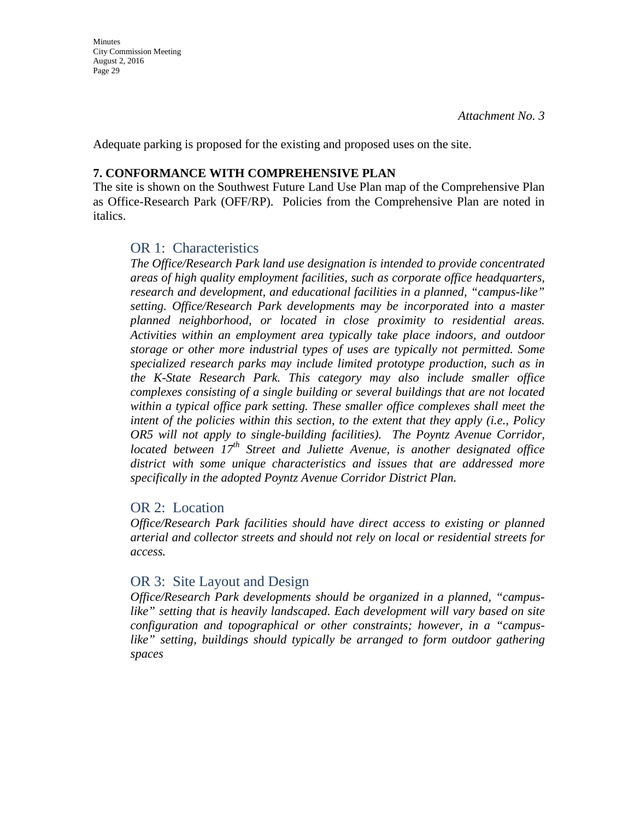Adequate parking is proposed for the existing and proposed uses on the site.

#### **7. CONFORMANCE WITH COMPREHENSIVE PLAN**

The site is shown on the Southwest Future Land Use Plan map of the Comprehensive Plan as Office-Research Park (OFF/RP). Policies from the Comprehensive Plan are noted in italics.

### OR 1: Characteristics

*The Office/Research Park land use designation is intended to provide concentrated areas of high quality employment facilities, such as corporate office headquarters, research and development, and educational facilities in a planned, "campus-like" setting. Office/Research Park developments may be incorporated into a master planned neighborhood, or located in close proximity to residential areas. Activities within an employment area typically take place indoors, and outdoor storage or other more industrial types of uses are typically not permitted. Some specialized research parks may include limited prototype production, such as in the K-State Research Park. This category may also include smaller office complexes consisting of a single building or several buildings that are not located within a typical office park setting. These smaller office complexes shall meet the intent of the policies within this section, to the extent that they apply (i.e., Policy OR5 will not apply to single-building facilities). The Poyntz Avenue Corridor, located between 17th Street and Juliette Avenue, is another designated office district with some unique characteristics and issues that are addressed more specifically in the adopted Poyntz Avenue Corridor District Plan.* 

# OR 2: Location

*Office/Research Park facilities should have direct access to existing or planned arterial and collector streets and should not rely on local or residential streets for access.*

# OR 3: Site Layout and Design

*Office/Research Park developments should be organized in a planned, "campus*like" setting that is heavily landscaped. Each development will vary based on site *configuration and topographical or other constraints; however, in a "campuslike" setting, buildings should typically be arranged to form outdoor gathering spaces*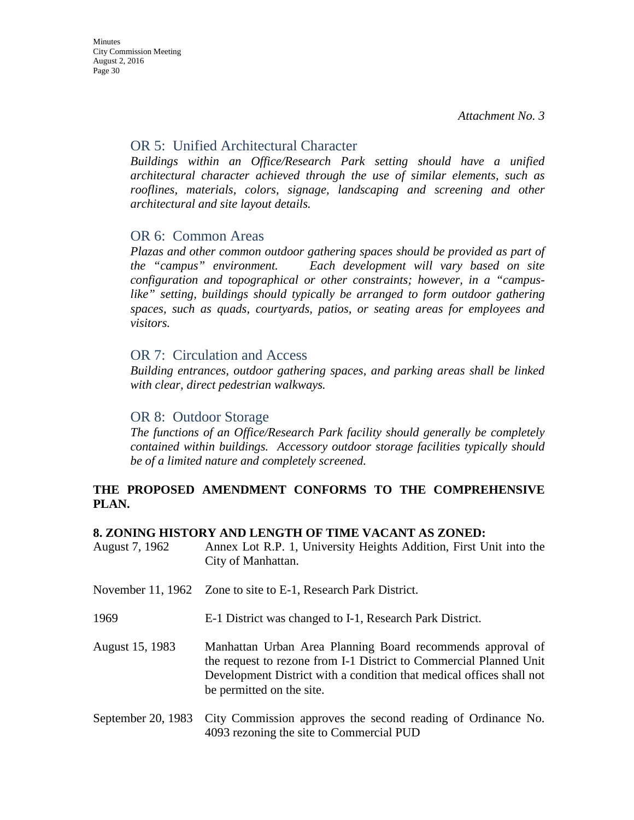# OR 5: Unified Architectural Character

*Buildings within an Office/Research Park setting should have a unified architectural character achieved through the use of similar elements, such as*  rooflines, materials, colors, signage, landscaping and screening and other *architectural and site layout details.* 

# OR 6: Common Areas

*Plazas and other common outdoor gathering spaces should be provided as part of the "campus" environment. Each development will vary based on site configuration and topographical or other constraints; however, in a "campuslike" setting, buildings should typically be arranged to form outdoor gathering spaces, such as quads, courtyards, patios, or seating areas for employees and visitors.* 

# OR 7: Circulation and Access

*Building entrances, outdoor gathering spaces, and parking areas shall be linked with clear, direct pedestrian walkways.* 

# OR 8: Outdoor Storage

*The functions of an Office/Research Park facility should generally be completely contained within buildings. Accessory outdoor storage facilities typically should be of a limited nature and completely screened.* 

# **THE PROPOSED AMENDMENT CONFORMS TO THE COMPREHENSIVE PLAN.**

#### **8. ZONING HISTORY AND LENGTH OF TIME VACANT AS ZONED:**

| August 7, 1962 | Annex Lot R.P. 1, University Heights Addition, First Unit into the |
|----------------|--------------------------------------------------------------------|
|                | City of Manhattan.                                                 |
|                |                                                                    |

- November 11, 1962 Zone to site to E-1, Research Park District.
- 1969 E-1 District was changed to I-1, Research Park District.
- August 15, 1983 Manhattan Urban Area Planning Board recommends approval of the request to rezone from I-1 District to Commercial Planned Unit Development District with a condition that medical offices shall not be permitted on the site.
- September 20, 1983 City Commission approves the second reading of Ordinance No. 4093 rezoning the site to Commercial PUD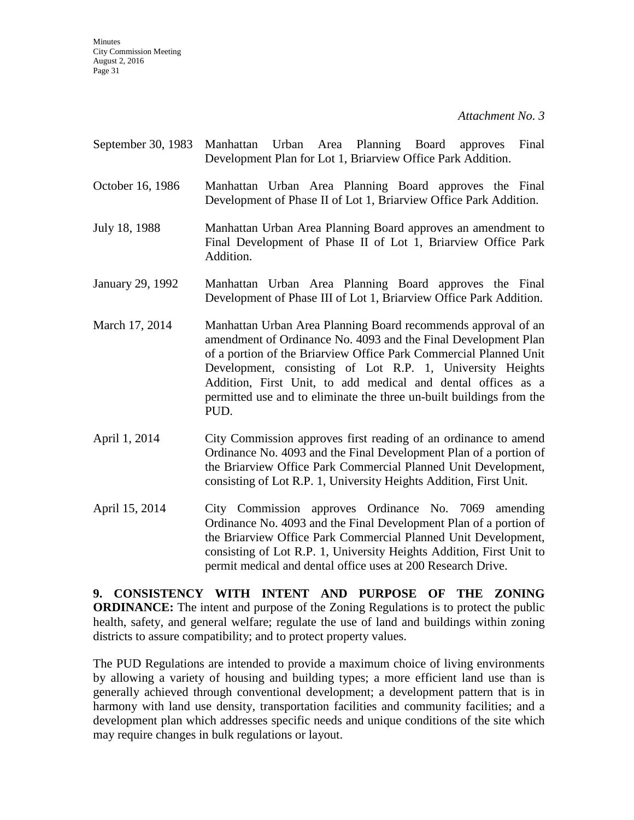- September 30, 1983 Manhattan Urban Area Planning Board approves Final Development Plan for Lot 1, Briarview Office Park Addition.
- October 16, 1986 Manhattan Urban Area Planning Board approves the Final Development of Phase II of Lot 1, Briarview Office Park Addition.
- July 18, 1988 Manhattan Urban Area Planning Board approves an amendment to Final Development of Phase II of Lot 1, Briarview Office Park Addition.
- January 29, 1992 Manhattan Urban Area Planning Board approves the Final Development of Phase III of Lot 1, Briarview Office Park Addition.
- March 17, 2014 Manhattan Urban Area Planning Board recommends approval of an amendment of Ordinance No. 4093 and the Final Development Plan of a portion of the Briarview Office Park Commercial Planned Unit Development, consisting of Lot R.P. 1, University Heights Addition, First Unit, to add medical and dental offices as a permitted use and to eliminate the three un-built buildings from the PUD.
- April 1, 2014 City Commission approves first reading of an ordinance to amend Ordinance No. 4093 and the Final Development Plan of a portion of the Briarview Office Park Commercial Planned Unit Development, consisting of Lot R.P. 1, University Heights Addition, First Unit.
- April 15, 2014 City Commission approves Ordinance No. 7069 amending Ordinance No. 4093 and the Final Development Plan of a portion of the Briarview Office Park Commercial Planned Unit Development, consisting of Lot R.P. 1, University Heights Addition, First Unit to permit medical and dental office uses at 200 Research Drive.

**9. CONSISTENCY WITH INTENT AND PURPOSE OF THE ZONING ORDINANCE:** The intent and purpose of the Zoning Regulations is to protect the public health, safety, and general welfare; regulate the use of land and buildings within zoning districts to assure compatibility; and to protect property values.

The PUD Regulations are intended to provide a maximum choice of living environments by allowing a variety of housing and building types; a more efficient land use than is generally achieved through conventional development; a development pattern that is in harmony with land use density, transportation facilities and community facilities; and a development plan which addresses specific needs and unique conditions of the site which may require changes in bulk regulations or layout.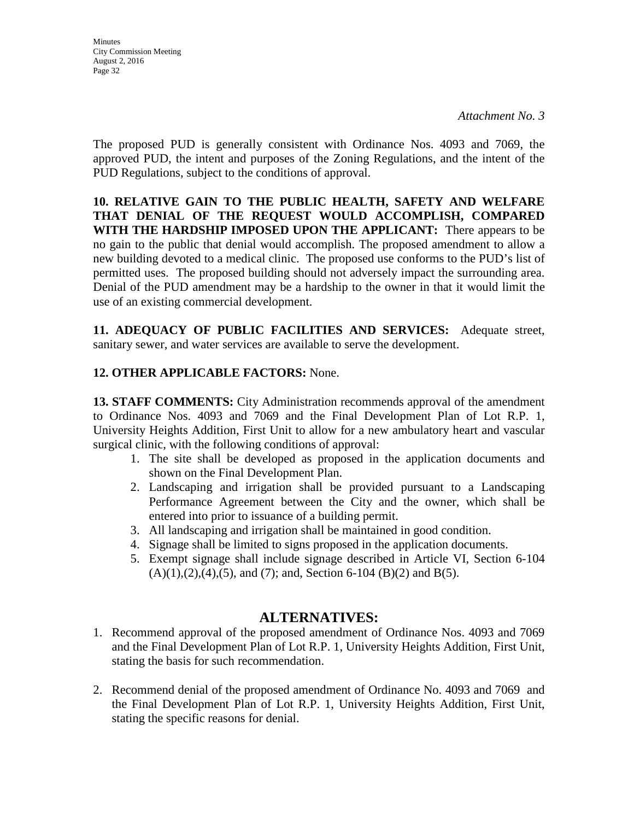**Minutes** City Commission Meeting August 2, 2016 Page 32

The proposed PUD is generally consistent with Ordinance Nos. 4093 and 7069, the approved PUD, the intent and purposes of the Zoning Regulations, and the intent of the PUD Regulations, subject to the conditions of approval.

**10. RELATIVE GAIN TO THE PUBLIC HEALTH, SAFETY AND WELFARE THAT DENIAL OF THE REQUEST WOULD ACCOMPLISH, COMPARED WITH THE HARDSHIP IMPOSED UPON THE APPLICANT:** There appears to be no gain to the public that denial would accomplish. The proposed amendment to allow a new building devoted to a medical clinic. The proposed use conforms to the PUD's list of permitted uses. The proposed building should not adversely impact the surrounding area. Denial of the PUD amendment may be a hardship to the owner in that it would limit the use of an existing commercial development.

**11. ADEQUACY OF PUBLIC FACILITIES AND SERVICES:** Adequate street, sanitary sewer, and water services are available to serve the development.

# **12. OTHER APPLICABLE FACTORS:** None.

**13. STAFF COMMENTS:** City Administration recommends approval of the amendment to Ordinance Nos. 4093 and 7069 and the Final Development Plan of Lot R.P. 1, University Heights Addition, First Unit to allow for a new ambulatory heart and vascular surgical clinic, with the following conditions of approval:

- 1. The site shall be developed as proposed in the application documents and shown on the Final Development Plan.
- 2. Landscaping and irrigation shall be provided pursuant to a Landscaping Performance Agreement between the City and the owner, which shall be entered into prior to issuance of a building permit.
- 3. All landscaping and irrigation shall be maintained in good condition.
- 4. Signage shall be limited to signs proposed in the application documents.
- 5. Exempt signage shall include signage described in Article VI, Section 6-104  $(A)(1),(2),(4),(5)$ , and  $(7)$ ; and, Section 6-104  $(B)(2)$  and  $B(5)$ .

# **ALTERNATIVES:**

- 1. Recommend approval of the proposed amendment of Ordinance Nos. 4093 and 7069 and the Final Development Plan of Lot R.P. 1, University Heights Addition, First Unit, stating the basis for such recommendation.
- 2. Recommend denial of the proposed amendment of Ordinance No. 4093 and 7069 and the Final Development Plan of Lot R.P. 1, University Heights Addition, First Unit, stating the specific reasons for denial.